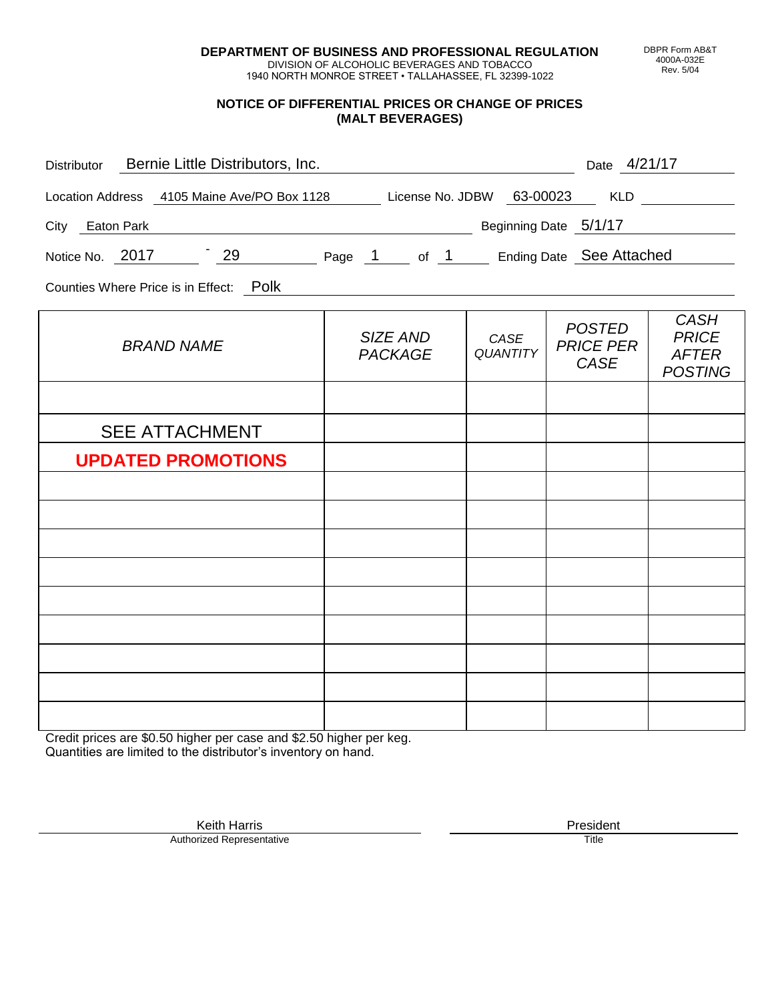**DEPARTMENT OF BUSINESS AND PROFESSIONAL REGULATION** DIVISION OF ALCOHOLIC BEVERAGES AND TOBACCO

1940 NORTH MONROE STREET • TALLAHASSEE, FL 32399-1022

#### **NOTICE OF DIFFERENTIAL PRICES OR CHANGE OF PRICES (MALT BEVERAGES)**

| Distributor Bernie Little Distributors, Inc.                              |                            |                         | Date 4/21/17                                     |                                                               |
|---------------------------------------------------------------------------|----------------------------|-------------------------|--------------------------------------------------|---------------------------------------------------------------|
| Location Address 4105 Maine Ave/PO Box 1128 License No. JDBW 63-00023 KLD |                            |                         |                                                  |                                                               |
| Beginning Date 5/1/17<br>City Eaton Park                                  |                            |                         |                                                  |                                                               |
| Notice No. 2017 29 Page 1 of 1 Ending Date See Attached                   |                            |                         |                                                  |                                                               |
| Counties Where Price is in Effect: Polk                                   |                            |                         |                                                  |                                                               |
| <b>BRAND NAME</b>                                                         | SIZE AND<br><b>PACKAGE</b> | CASE<br><b>QUANTITY</b> | <b>POSTED</b><br><b>PRICE PER</b><br><b>CASE</b> | <b>CASH</b><br><b>PRICE</b><br><b>AFTER</b><br><b>POSTING</b> |
|                                                                           |                            |                         |                                                  |                                                               |
| <b>SEE ATTACHMENT</b>                                                     |                            |                         |                                                  |                                                               |
| <b>UPDATED PROMOTIONS</b>                                                 |                            |                         |                                                  |                                                               |
|                                                                           |                            |                         |                                                  |                                                               |
|                                                                           |                            |                         |                                                  |                                                               |
|                                                                           |                            |                         |                                                  |                                                               |
|                                                                           |                            |                         |                                                  |                                                               |
|                                                                           |                            |                         |                                                  |                                                               |
|                                                                           |                            |                         |                                                  |                                                               |
|                                                                           |                            |                         |                                                  |                                                               |
|                                                                           |                            |                         |                                                  |                                                               |
|                                                                           |                            |                         |                                                  |                                                               |

Credit prices are \$0.50 higher per case and \$2.50 higher per keg. Quantities are limited to the distributor's inventory on hand.

> Keith Harris **President** President **President** President **President** President **President** Authorized Representative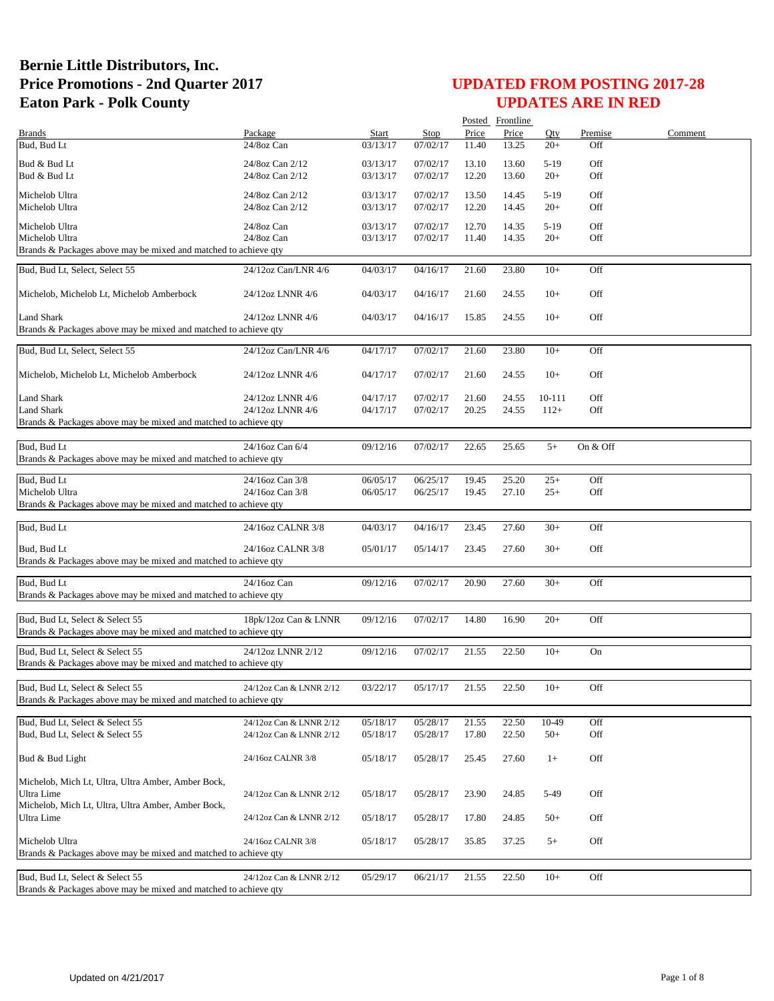|                                                                 |                         |          |             |       | Posted Frontline |        |          |         |
|-----------------------------------------------------------------|-------------------------|----------|-------------|-------|------------------|--------|----------|---------|
| <b>Brands</b>                                                   | Package                 | Start    | <b>Stop</b> | Price | Price            | Qty    | Premise  | Comment |
| Bud, Bud Lt                                                     | 24/8oz Can              | 03/13/17 | 07/02/17    | 11.40 | 13.25            | $20+$  | Off      |         |
| Bud & Bud Lt                                                    | 24/8oz Can 2/12         | 03/13/17 | 07/02/17    | 13.10 | 13.60            | $5-19$ | Off      |         |
| Bud & Bud Lt                                                    | 24/8oz Can 2/12         | 03/13/17 | 07/02/17    | 12.20 | 13.60            | $20+$  | Off      |         |
|                                                                 |                         |          |             |       |                  |        |          |         |
| Michelob Ultra                                                  | 24/8oz Can 2/12         | 03/13/17 | 07/02/17    | 13.50 | 14.45            | $5-19$ | Off      |         |
| Michelob Ultra                                                  | 24/8oz Can 2/12         | 03/13/17 | 07/02/17    | 12.20 | 14.45            | $20+$  | Off      |         |
| Michelob Ultra                                                  | 24/8oz Can              | 03/13/17 | 07/02/17    | 12.70 | 14.35            | $5-19$ | Off      |         |
| Michelob Ultra                                                  | 24/8oz Can              | 03/13/17 | 07/02/17    | 11.40 | 14.35            | $20+$  | Off      |         |
| Brands & Packages above may be mixed and matched to achieve qty |                         |          |             |       |                  |        |          |         |
|                                                                 |                         |          |             |       |                  |        |          |         |
| Bud, Bud Lt, Select, Select 55                                  | 24/12oz Can/LNR 4/6     | 04/03/17 | 04/16/17    | 21.60 | 23.80            | $10+$  | Off      |         |
|                                                                 |                         |          |             |       |                  |        |          |         |
| Michelob, Michelob Lt, Michelob Amberbock                       | 24/12oz LNNR 4/6        | 04/03/17 | 04/16/17    | 21.60 | 24.55            | $10+$  | Off      |         |
|                                                                 |                         |          |             |       |                  |        |          |         |
| <b>Land Shark</b>                                               | 24/12oz LNNR 4/6        | 04/03/17 | 04/16/17    | 15.85 | 24.55            | $10+$  | Off      |         |
| Brands & Packages above may be mixed and matched to achieve qty |                         |          |             |       |                  |        |          |         |
|                                                                 |                         |          |             |       |                  |        |          |         |
| Bud, Bud Lt, Select, Select 55                                  | 24/12oz Can/LNR 4/6     | 04/17/17 | 07/02/17    | 21.60 | 23.80            | $10+$  | Off      |         |
|                                                                 |                         |          | 07/02/17    |       |                  | $10+$  | Off      |         |
| Michelob, Michelob Lt, Michelob Amberbock                       | 24/12oz LNNR 4/6        | 04/17/17 |             | 21.60 | 24.55            |        |          |         |
| Land Shark                                                      | 24/12oz LNNR 4/6        | 04/17/17 | 07/02/17    | 21.60 | 24.55            | 10-111 | Off      |         |
| <b>Land Shark</b>                                               | 24/12oz LNNR 4/6        | 04/17/17 | 07/02/17    | 20.25 | 24.55            | $112+$ | Off      |         |
| Brands & Packages above may be mixed and matched to achieve qty |                         |          |             |       |                  |        |          |         |
|                                                                 |                         |          |             |       |                  |        |          |         |
| Bud, Bud Lt                                                     | 24/16oz Can 6/4         | 09/12/16 | 07/02/17    | 22.65 | 25.65            | $5+$   | On & Off |         |
| Brands & Packages above may be mixed and matched to achieve qty |                         |          |             |       |                  |        |          |         |
|                                                                 |                         |          |             |       |                  |        |          |         |
| Bud, Bud Lt                                                     | 24/16oz Can 3/8         | 06/05/17 | 06/25/17    | 19.45 | 25.20            | $25+$  | Off      |         |
| Michelob Ultra                                                  | 24/16oz Can 3/8         | 06/05/17 | 06/25/17    | 19.45 | 27.10            | $25+$  | Off      |         |
| Brands & Packages above may be mixed and matched to achieve qty |                         |          |             |       |                  |        |          |         |
|                                                                 |                         |          |             |       |                  |        |          |         |
| Bud, Bud Lt                                                     | 24/16oz CALNR 3/8       | 04/03/17 | 04/16/17    | 23.45 | 27.60            | $30+$  | Off      |         |
|                                                                 |                         |          |             |       |                  |        |          |         |
| Bud, Bud Lt                                                     | 24/16oz CALNR 3/8       | 05/01/17 | 05/14/17    | 23.45 | 27.60            | $30+$  | Off      |         |
| Brands & Packages above may be mixed and matched to achieve qty |                         |          |             |       |                  |        |          |         |
|                                                                 |                         |          |             |       |                  |        |          |         |
| Bud, Bud Lt                                                     | 24/16oz Can             | 09/12/16 | 07/02/17    | 20.90 | 27.60            | $30+$  | Off      |         |
| Brands & Packages above may be mixed and matched to achieve qty |                         |          |             |       |                  |        |          |         |
| Bud, Bud Lt, Select & Select 55                                 |                         |          |             |       |                  | $20+$  | Off      |         |
|                                                                 | 18pk/12oz Can & LNNR    | 09/12/16 | 07/02/17    | 14.80 | 16.90            |        |          |         |
| Brands & Packages above may be mixed and matched to achieve qty |                         |          |             |       |                  |        |          |         |
| Bud, Bud Lt. Select & Select 55                                 | 24/12oz LNNR 2/12       | 09/12/16 | 07/02/17    | 21.55 | 22.50            | $10+$  | On       |         |
| Brands & Packages above may be mixed and matched to achieve qty |                         |          |             |       |                  |        |          |         |
|                                                                 |                         |          |             |       |                  |        |          |         |
| Bud, Bud Lt, Select & Select 55                                 | 24/12oz Can & LNNR 2/12 | 03/22/17 | 05/17/17    | 21.55 | 22.50            | $10+$  | Off      |         |
| Brands & Packages above may be mixed and matched to achieve qty |                         |          |             |       |                  |        |          |         |
|                                                                 |                         |          |             |       |                  |        |          |         |
| Bud, Bud Lt, Select & Select 55                                 | 24/12oz Can & LNNR 2/12 | 05/18/17 | 05/28/17    | 21.55 | 22.50            | 10-49  | Off      |         |
| Bud, Bud Lt, Select & Select 55                                 | 24/12oz Can & LNNR 2/12 | 05/18/17 | 05/28/17    | 17.80 | 22.50            | $50+$  | Off      |         |
|                                                                 |                         |          |             |       |                  |        |          |         |
| Bud & Bud Light                                                 | 24/16oz CALNR 3/8       | 05/18/17 | 05/28/17    | 25.45 | 27.60            | $1+$   | Off      |         |
|                                                                 |                         |          |             |       |                  |        |          |         |
| Michelob, Mich Lt, Ultra, Ultra Amber, Amber Bock,              |                         |          |             |       |                  |        |          |         |
| Ultra Lime                                                      | 24/12oz Can & LNNR 2/12 | 05/18/17 | 05/28/17    | 23.90 | 24.85            | 5-49   | Off      |         |
| Michelob, Mich Lt, Ultra, Ultra Amber, Amber Bock,              |                         |          |             |       |                  |        |          |         |
| Ultra Lime                                                      | 24/12oz Can & LNNR 2/12 | 05/18/17 | 05/28/17    | 17.80 | 24.85            | $50+$  | Off      |         |
|                                                                 |                         |          |             |       |                  |        |          |         |
| Michelob Ultra                                                  | 24/16oz CALNR 3/8       | 05/18/17 | 05/28/17    | 35.85 | 37.25            | $5+$   | Off      |         |
| Brands & Packages above may be mixed and matched to achieve qty |                         |          |             |       |                  |        |          |         |
| Bud, Bud Lt, Select & Select 55                                 | 24/12oz Can & LNNR 2/12 | 05/29/17 |             | 21.55 | 22.50            | $10+$  | Off      |         |
| Brands & Packages above may be mixed and matched to achieve qty |                         |          | 06/21/17    |       |                  |        |          |         |
|                                                                 |                         |          |             |       |                  |        |          |         |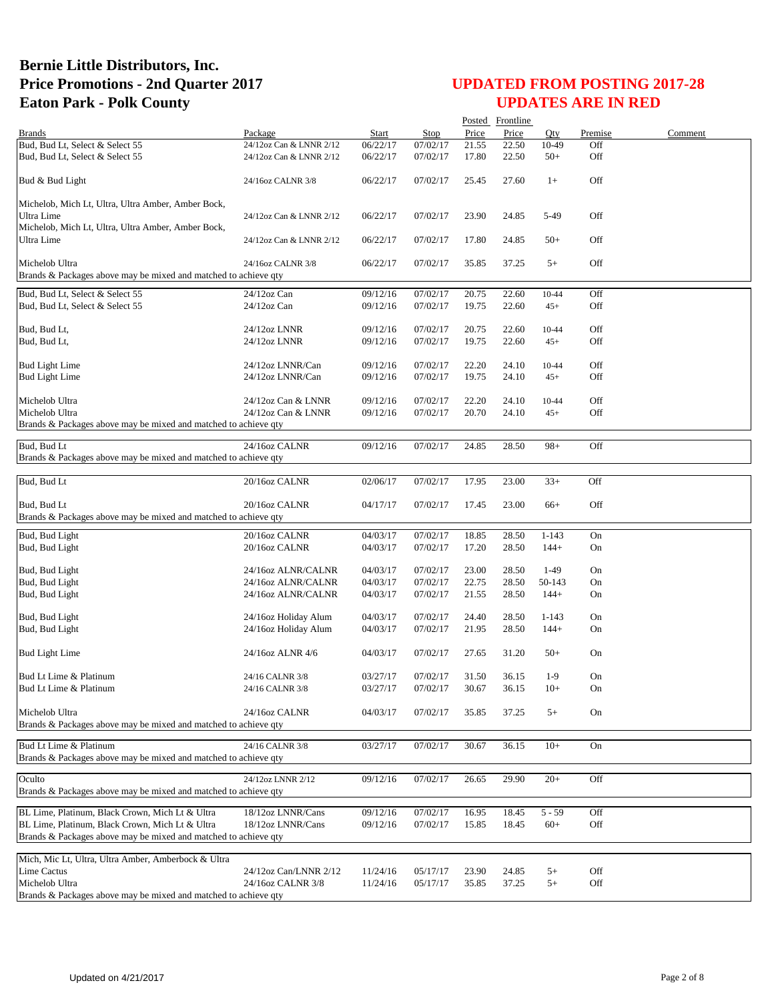|                                                                 |                                              |                      |             |                | Posted Frontline |           |          |         |
|-----------------------------------------------------------------|----------------------------------------------|----------------------|-------------|----------------|------------------|-----------|----------|---------|
| <b>Brands</b>                                                   | Package                                      | Start                | <b>Stop</b> | Price          | Price            | Otv       | Premise  | Comment |
| Bud, Bud Lt, Select & Select 55                                 | 24/12oz Can & LNNR 2/12                      | 06/22/17             | 07/02/17    | 21.55          | 22.50            | 10-49     | Off      |         |
| Bud, Bud Lt, Select & Select 55                                 | 24/12oz Can & LNNR 2/12                      | 06/22/17             | 07/02/17    | 17.80          | 22.50            | $50+$     | Off      |         |
| Bud & Bud Light                                                 | 24/16oz CALNR 3/8                            | 06/22/17             | 07/02/17    | 25.45          | 27.60            | $1+$      | Off      |         |
| Michelob, Mich Lt, Ultra, Ultra Amber, Amber Bock,              |                                              |                      |             |                |                  |           |          |         |
| Ultra Lime                                                      | 24/12oz Can & LNNR 2/12                      | 06/22/17             | 07/02/17    | 23.90          | 24.85            | 5-49      | Off      |         |
| Michelob, Mich Lt, Ultra, Ultra Amber, Amber Bock,              |                                              |                      |             |                |                  |           |          |         |
| Ultra Lime                                                      | 24/12oz Can & LNNR 2/12                      | 06/22/17             | 07/02/17    | 17.80          | 24.85            | $50+$     | Off      |         |
|                                                                 |                                              |                      |             |                |                  |           |          |         |
| Michelob Ultra                                                  | 24/16oz CALNR 3/8                            | 06/22/17             | 07/02/17    | 35.85          | 37.25            | $5+$      | Off      |         |
| Brands & Packages above may be mixed and matched to achieve qty |                                              |                      |             |                |                  |           |          |         |
| Bud, Bud Lt, Select & Select 55                                 | 24/12oz Can                                  | 09/12/16             | 07/02/17    | 20.75          | 22.60            | 10-44     | Off      |         |
| Bud, Bud Lt, Select & Select 55                                 | 24/12oz Can                                  | 09/12/16             | 07/02/17    | 19.75          | 22.60            | $45+$     | Off      |         |
|                                                                 |                                              |                      |             |                |                  |           |          |         |
| Bud, Bud Lt,                                                    | 24/12oz LNNR                                 | 09/12/16             | 07/02/17    | 20.75          | 22.60            | 10-44     | Off      |         |
| Bud, Bud Lt,                                                    | 24/12oz LNNR                                 | 09/12/16             | 07/02/17    | 19.75          | 22.60            | $45+$     | Off      |         |
| <b>Bud Light Lime</b>                                           | 24/12oz LNNR/Can                             | 09/12/16             | 07/02/17    | 22.20          | 24.10            | 10-44     | Off      |         |
| <b>Bud Light Lime</b>                                           | 24/12oz LNNR/Can                             | 09/12/16             | 07/02/17    | 19.75          | 24.10            | $45+$     | Off      |         |
|                                                                 |                                              |                      |             |                |                  |           |          |         |
| Michelob Ultra                                                  | 24/12oz Can & LNNR                           | 09/12/16             | 07/02/17    | 22.20          | 24.10            | 10-44     | Off      |         |
| Michelob Ultra                                                  | 24/12oz Can & LNNR                           | 09/12/16             | 07/02/17    | 20.70          | 24.10            | $45+$     | Off      |         |
| Brands & Packages above may be mixed and matched to achieve qty |                                              |                      |             |                |                  |           |          |         |
|                                                                 |                                              |                      |             |                |                  |           |          |         |
| Bud, Bud Lt                                                     | 24/16oz CALNR                                | 09/12/16             | 07/02/17    | 24.85          | 28.50            | $98+$     | Off      |         |
| Brands & Packages above may be mixed and matched to achieve qty |                                              |                      |             |                |                  |           |          |         |
| Bud, Bud Lt                                                     | 20/16oz CALNR                                | 02/06/17             | 07/02/17    | 17.95          | 23.00            | $33+$     | Off      |         |
|                                                                 |                                              |                      |             |                |                  |           |          |         |
| Bud, Bud Lt                                                     | 20/16oz CALNR                                | 04/17/17             | 07/02/17    | 17.45          | 23.00            | $66+$     | Off      |         |
| Brands & Packages above may be mixed and matched to achieve qty |                                              |                      |             |                |                  |           |          |         |
| Bud, Bud Light                                                  | 20/16oz CALNR                                | 04/03/17             | 07/02/17    | 18.85          | 28.50            | $1 - 143$ | On       |         |
| Bud, Bud Light                                                  | 20/16oz CALNR                                | 04/03/17             | 07/02/17    | 17.20          | 28.50            | $144+$    | On       |         |
|                                                                 |                                              |                      |             |                |                  |           |          |         |
| Bud, Bud Light                                                  | 24/16oz ALNR/CALNR                           | 04/03/17             | 07/02/17    | 23.00          | 28.50            | $1-49$    | On       |         |
| Bud, Bud Light                                                  | 24/16oz ALNR/CALNR                           | 04/03/17             | 07/02/17    | 22.75          | 28.50            | 50-143    | On       |         |
| Bud, Bud Light                                                  | 24/16oz ALNR/CALNR                           | 04/03/17             | 07/02/17    | 21.55          | 28.50            | $144+$    | On       |         |
|                                                                 |                                              |                      | 07/02/17    |                |                  | $1 - 143$ |          |         |
| Bud, Bud Light<br>Bud, Bud Light                                | 24/16oz Holiday Alum<br>24/16oz Holiday Alum | 04/03/17<br>04/03/17 | 07/02/17    | 24.40<br>21.95 | 28.50<br>28.50   | $144+$    | On<br>On |         |
|                                                                 |                                              |                      |             |                |                  |           |          |         |
| <b>Bud Light Lime</b>                                           | 24/16oz ALNR 4/6                             | 04/03/17             | 07/02/17    | 27.65          | 31.20            | $50+$     | On       |         |
|                                                                 |                                              |                      |             |                |                  |           |          |         |
| Bud Lt Lime & Platinum                                          | 24/16 CALNR 3/8                              | 03/27/17             | 07/02/17    | 31.50          | 36.15            | $1-9$     | On       |         |
| Bud Lt Lime & Platinum                                          | 24/16 CALNR 3/8                              | 03/27/17             | 07/02/17    | 30.67          | 36.15            | $10+$     | On       |         |
|                                                                 |                                              |                      |             |                |                  |           |          |         |
| Michelob Ultra                                                  | 24/16oz CALNR                                | 04/03/17             | 07/02/17    | 35.85          | 37.25            | $5+$      | On       |         |
| Brands & Packages above may be mixed and matched to achieve qty |                                              |                      |             |                |                  |           |          |         |
| Bud Lt Lime & Platinum                                          | 24/16 CALNR 3/8                              | 03/27/17             | 07/02/17    | 30.67          | 36.15            | $10+$     | On       |         |
| Brands & Packages above may be mixed and matched to achieve qty |                                              |                      |             |                |                  |           |          |         |
|                                                                 |                                              |                      |             |                |                  |           |          |         |
| Oculto                                                          | 24/12oz LNNR 2/12                            | 09/12/16             | 07/02/17    | 26.65          | 29.90            | $20+$     | Off      |         |
| Brands & Packages above may be mixed and matched to achieve qty |                                              |                      |             |                |                  |           |          |         |
| BL Lime, Platinum, Black Crown, Mich Lt & Ultra                 | 18/12oz LNNR/Cans                            | 09/12/16             | 07/02/17    | 16.95          | 18.45            | $5 - 59$  | Off      |         |
| BL Lime, Platinum, Black Crown, Mich Lt & Ultra                 | 18/12oz LNNR/Cans                            | 09/12/16             | 07/02/17    | 15.85          | 18.45            | $60+$     | Off      |         |
| Brands & Packages above may be mixed and matched to achieve qty |                                              |                      |             |                |                  |           |          |         |
|                                                                 |                                              |                      |             |                |                  |           |          |         |
| Mich, Mic Lt, Ultra, Ultra Amber, Amberbock & Ultra             |                                              |                      |             |                |                  |           |          |         |
| Lime Cactus                                                     | 24/12oz Can/LNNR 2/12                        | 11/24/16             | 05/17/17    | 23.90          | 24.85            | $5+$      | Off      |         |
| Michelob Ultra                                                  | 24/16oz CALNR 3/8                            | 11/24/16             | 05/17/17    | 35.85          | 37.25            | $5+$      | Off      |         |
| Brands & Packages above may be mixed and matched to achieve qty |                                              |                      |             |                |                  |           |          |         |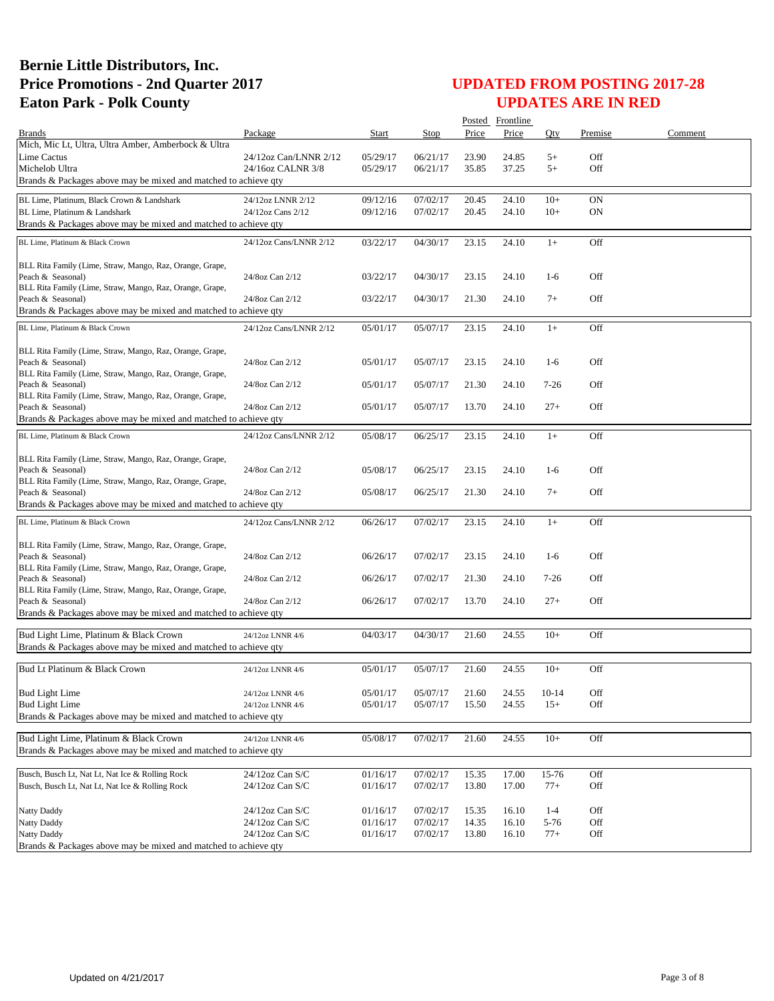| Start<br>Price<br>Price<br>Premise<br>Comment<br><b>Brands</b><br>Package<br>Stop<br>Oty<br>Mich, Mic Lt, Ultra, Ultra Amber, Amberbock & Ultra<br>06/21/17<br>Off<br><b>Lime Cactus</b><br>24/12oz Can/LNNR 2/12<br>05/29/17<br>23.90<br>24.85<br>$5+$<br>Michelob Ultra<br>24/16oz CALNR 3/8<br>06/21/17<br>37.25<br>$5+$<br>Off<br>05/29/17<br>35.85<br>Brands & Packages above may be mixed and matched to achieve qty<br>09/12/16<br>07/02/17<br>24.10<br>$10+$<br>ON<br>BL Lime, Platinum, Black Crown & Landshark<br>24/12oz LNNR 2/12<br>20.45<br>BL Lime, Platinum & Landshark<br>24/12oz Cans 2/12<br><b>ON</b><br>09/12/16<br>07/02/17<br>20.45<br>24.10<br>$10+$<br>Brands & Packages above may be mixed and matched to achieve qty<br>03/22/17<br>04/30/17<br>23.15<br>24.10<br>Off<br>$1+$<br>BL Lime, Platinum & Black Crown<br>24/12oz Cans/LNNR 2/12<br>BLL Rita Family (Lime, Straw, Mango, Raz, Orange, Grape,<br>Off<br>24/8oz Can 2/12<br>03/22/17<br>04/30/17<br>23.15<br>24.10<br>$1-6$<br>Peach & Seasonal)<br>BLL Rita Family (Lime, Straw, Mango, Raz, Orange, Grape,<br>Off<br>Peach & Seasonal)<br>24/8oz Can 2/12<br>03/22/17<br>04/30/17<br>21.30<br>24.10<br>$7+$<br>Brands & Packages above may be mixed and matched to achieve qty<br>23.15<br>Off<br>05/01/17<br>05/07/17<br>24.10<br>$1+$<br>BL Lime, Platinum & Black Crown<br>24/12oz Cans/LNNR 2/12<br>BLL Rita Family (Lime, Straw, Mango, Raz, Orange, Grape,<br>05/07/17<br>Off<br>Peach & Seasonal)<br>24/8oz Can 2/12<br>05/01/17<br>23.15<br>24.10<br>$1-6$<br>BLL Rita Family (Lime, Straw, Mango, Raz, Orange, Grape,<br>Off<br>24/8oz Can 2/12<br>05/01/17<br>05/07/17<br>21.30<br>24.10<br>$7 - 26$<br>Peach & Seasonal)<br>BLL Rita Family (Lime, Straw, Mango, Raz, Orange, Grape,<br>24/8oz Can 2/12<br>05/01/17<br>05/07/17<br>13.70<br>24.10<br>$27+$<br>Off<br>Peach & Seasonal)<br>Brands & Packages above may be mixed and matched to achieve gty<br>24/12oz Cans/LNNR 2/12<br>05/08/17<br>06/25/17<br>23.15<br>24.10<br>$1+$<br>Off<br>BL Lime, Platinum & Black Crown<br>BLL Rita Family (Lime, Straw, Mango, Raz, Orange, Grape,<br>Peach & Seasonal)<br>Off<br>24/8oz Can 2/12<br>05/08/17<br>06/25/17<br>23.15<br>24.10<br>$1-6$<br>BLL Rita Family (Lime, Straw, Mango, Raz, Orange, Grape,<br>24/8oz Can 2/12<br>Off<br>Peach & Seasonal)<br>05/08/17<br>06/25/17<br>21.30<br>24.10<br>$7+$<br>Brands & Packages above may be mixed and matched to achieve qty<br>Off<br>24/12oz Cans/LNNR 2/12<br>06/26/17<br>07/02/17<br>23.15<br>24.10<br>$1+$<br>BL Lime, Platinum & Black Crown<br>BLL Rita Family (Lime, Straw, Mango, Raz, Orange, Grape,<br>Peach & Seasonal)<br>24/8oz Can 2/12<br>06/26/17<br>07/02/17<br>23.15<br>24.10<br>$1-6$<br>Off<br>BLL Rita Family (Lime, Straw, Mango, Raz, Orange, Grape,<br>Off<br>Peach & Seasonal)<br>24/8oz Can 2/12<br>06/26/17<br>07/02/17<br>21.30<br>24.10<br>$7 - 26$<br>BLL Rita Family (Lime, Straw, Mango, Raz, Orange, Grape,<br>Peach & Seasonal)<br>24/8oz Can 2/12<br>07/02/17<br>Off<br>06/26/17<br>13.70<br>24.10<br>$27+$<br>Brands & Packages above may be mixed and matched to achieve qty<br>Bud Light Lime, Platinum & Black Crown<br>04/03/17<br>04/30/17<br>21.60<br>24.55<br>$10+$<br>Off<br>24/12oz LNNR 4/6<br>Brands & Packages above may be mixed and matched to achieve qty<br>Bud Lt Platinum & Black Crown<br>05/01/17<br>05/07/17<br>21.60<br>24.55<br>$10+$<br>Off<br>24/12oz LNNR 4/6<br><b>Bud Light Lime</b><br>05/01/17<br>Off<br>05/07/17<br>21.60<br>24.55<br>$10-14$<br>24/12oz LNNR 4/6<br><b>Bud Light Lime</b><br>Off<br>05/01/17<br>05/07/17<br>$15+$<br>15.50<br>24.55<br>24/12oz LNNR 4/6<br>Brands & Packages above may be mixed and matched to achieve qty<br>21.60<br>24.55<br>$10+$<br>Off<br>Bud Light Lime, Platinum & Black Crown<br>05/08/17<br>07/02/17<br>24/12oz LNNR 4/6<br>Brands & Packages above may be mixed and matched to achieve qty<br>Busch, Busch Lt, Nat Lt, Nat Ice & Rolling Rock<br>24/12oz Can S/C<br>01/16/17<br>07/02/17<br>17.00<br>15-76<br>Off<br>15.35<br>Busch, Busch Lt, Nat Lt, Nat Ice & Rolling Rock<br>24/12oz Can S/C<br>07/02/17<br>13.80<br>17.00<br>$77+$<br>Off<br>01/16/17<br>24/12oz Can S/C<br>Off<br>Natty Daddy<br>01/16/17<br>07/02/17<br>15.35<br>16.10<br>$1 - 4$<br>Natty Daddy<br>24/12oz Can S/C<br>01/16/17<br>07/02/17<br>5-76<br>Off<br>14.35<br>16.10<br>24/12oz Can S/C<br>07/02/17<br>Off<br>Natty Daddy<br>01/16/17<br>13.80<br>16.10<br>$77+$<br>Brands & Packages above may be mixed and matched to achieve qty | Posted Frontline |  |  |  |  |  |  |  |
|-------------------------------------------------------------------------------------------------------------------------------------------------------------------------------------------------------------------------------------------------------------------------------------------------------------------------------------------------------------------------------------------------------------------------------------------------------------------------------------------------------------------------------------------------------------------------------------------------------------------------------------------------------------------------------------------------------------------------------------------------------------------------------------------------------------------------------------------------------------------------------------------------------------------------------------------------------------------------------------------------------------------------------------------------------------------------------------------------------------------------------------------------------------------------------------------------------------------------------------------------------------------------------------------------------------------------------------------------------------------------------------------------------------------------------------------------------------------------------------------------------------------------------------------------------------------------------------------------------------------------------------------------------------------------------------------------------------------------------------------------------------------------------------------------------------------------------------------------------------------------------------------------------------------------------------------------------------------------------------------------------------------------------------------------------------------------------------------------------------------------------------------------------------------------------------------------------------------------------------------------------------------------------------------------------------------------------------------------------------------------------------------------------------------------------------------------------------------------------------------------------------------------------------------------------------------------------------------------------------------------------------------------------------------------------------------------------------------------------------------------------------------------------------------------------------------------------------------------------------------------------------------------------------------------------------------------------------------------------------------------------------------------------------------------------------------------------------------------------------------------------------------------------------------------------------------------------------------------------------------------------------------------------------------------------------------------------------------------------------------------------------------------------------------------------------------------------------------------------------------------------------------------------------------------------------------------------------------------------------------------------------------------------------------------------------------------------------------------------------------------------------------------------------------------------------------------------------------------------------------------------------------------------------------------------------------------------------------------------------------------------------------------------------------------------------------------------------------------------------------------------------------------------------------------------------------------------------------------------------------------------------------------------------------------------------------------------------------------------------------------------------------------------------------------------------------------------------------------------------------------------------------------------------------------------------------------------------|------------------|--|--|--|--|--|--|--|
|                                                                                                                                                                                                                                                                                                                                                                                                                                                                                                                                                                                                                                                                                                                                                                                                                                                                                                                                                                                                                                                                                                                                                                                                                                                                                                                                                                                                                                                                                                                                                                                                                                                                                                                                                                                                                                                                                                                                                                                                                                                                                                                                                                                                                                                                                                                                                                                                                                                                                                                                                                                                                                                                                                                                                                                                                                                                                                                                                                                                                                                                                                                                                                                                                                                                                                                                                                                                                                                                                                                                                                                                                                                                                                                                                                                                                                                                                                                                                                                                                                                                                                                                                                                                                                                                                                                                                                                                                                                                                                                                                                                     |                  |  |  |  |  |  |  |  |
|                                                                                                                                                                                                                                                                                                                                                                                                                                                                                                                                                                                                                                                                                                                                                                                                                                                                                                                                                                                                                                                                                                                                                                                                                                                                                                                                                                                                                                                                                                                                                                                                                                                                                                                                                                                                                                                                                                                                                                                                                                                                                                                                                                                                                                                                                                                                                                                                                                                                                                                                                                                                                                                                                                                                                                                                                                                                                                                                                                                                                                                                                                                                                                                                                                                                                                                                                                                                                                                                                                                                                                                                                                                                                                                                                                                                                                                                                                                                                                                                                                                                                                                                                                                                                                                                                                                                                                                                                                                                                                                                                                                     |                  |  |  |  |  |  |  |  |
|                                                                                                                                                                                                                                                                                                                                                                                                                                                                                                                                                                                                                                                                                                                                                                                                                                                                                                                                                                                                                                                                                                                                                                                                                                                                                                                                                                                                                                                                                                                                                                                                                                                                                                                                                                                                                                                                                                                                                                                                                                                                                                                                                                                                                                                                                                                                                                                                                                                                                                                                                                                                                                                                                                                                                                                                                                                                                                                                                                                                                                                                                                                                                                                                                                                                                                                                                                                                                                                                                                                                                                                                                                                                                                                                                                                                                                                                                                                                                                                                                                                                                                                                                                                                                                                                                                                                                                                                                                                                                                                                                                                     |                  |  |  |  |  |  |  |  |
|                                                                                                                                                                                                                                                                                                                                                                                                                                                                                                                                                                                                                                                                                                                                                                                                                                                                                                                                                                                                                                                                                                                                                                                                                                                                                                                                                                                                                                                                                                                                                                                                                                                                                                                                                                                                                                                                                                                                                                                                                                                                                                                                                                                                                                                                                                                                                                                                                                                                                                                                                                                                                                                                                                                                                                                                                                                                                                                                                                                                                                                                                                                                                                                                                                                                                                                                                                                                                                                                                                                                                                                                                                                                                                                                                                                                                                                                                                                                                                                                                                                                                                                                                                                                                                                                                                                                                                                                                                                                                                                                                                                     |                  |  |  |  |  |  |  |  |
|                                                                                                                                                                                                                                                                                                                                                                                                                                                                                                                                                                                                                                                                                                                                                                                                                                                                                                                                                                                                                                                                                                                                                                                                                                                                                                                                                                                                                                                                                                                                                                                                                                                                                                                                                                                                                                                                                                                                                                                                                                                                                                                                                                                                                                                                                                                                                                                                                                                                                                                                                                                                                                                                                                                                                                                                                                                                                                                                                                                                                                                                                                                                                                                                                                                                                                                                                                                                                                                                                                                                                                                                                                                                                                                                                                                                                                                                                                                                                                                                                                                                                                                                                                                                                                                                                                                                                                                                                                                                                                                                                                                     |                  |  |  |  |  |  |  |  |
|                                                                                                                                                                                                                                                                                                                                                                                                                                                                                                                                                                                                                                                                                                                                                                                                                                                                                                                                                                                                                                                                                                                                                                                                                                                                                                                                                                                                                                                                                                                                                                                                                                                                                                                                                                                                                                                                                                                                                                                                                                                                                                                                                                                                                                                                                                                                                                                                                                                                                                                                                                                                                                                                                                                                                                                                                                                                                                                                                                                                                                                                                                                                                                                                                                                                                                                                                                                                                                                                                                                                                                                                                                                                                                                                                                                                                                                                                                                                                                                                                                                                                                                                                                                                                                                                                                                                                                                                                                                                                                                                                                                     |                  |  |  |  |  |  |  |  |
|                                                                                                                                                                                                                                                                                                                                                                                                                                                                                                                                                                                                                                                                                                                                                                                                                                                                                                                                                                                                                                                                                                                                                                                                                                                                                                                                                                                                                                                                                                                                                                                                                                                                                                                                                                                                                                                                                                                                                                                                                                                                                                                                                                                                                                                                                                                                                                                                                                                                                                                                                                                                                                                                                                                                                                                                                                                                                                                                                                                                                                                                                                                                                                                                                                                                                                                                                                                                                                                                                                                                                                                                                                                                                                                                                                                                                                                                                                                                                                                                                                                                                                                                                                                                                                                                                                                                                                                                                                                                                                                                                                                     |                  |  |  |  |  |  |  |  |
|                                                                                                                                                                                                                                                                                                                                                                                                                                                                                                                                                                                                                                                                                                                                                                                                                                                                                                                                                                                                                                                                                                                                                                                                                                                                                                                                                                                                                                                                                                                                                                                                                                                                                                                                                                                                                                                                                                                                                                                                                                                                                                                                                                                                                                                                                                                                                                                                                                                                                                                                                                                                                                                                                                                                                                                                                                                                                                                                                                                                                                                                                                                                                                                                                                                                                                                                                                                                                                                                                                                                                                                                                                                                                                                                                                                                                                                                                                                                                                                                                                                                                                                                                                                                                                                                                                                                                                                                                                                                                                                                                                                     |                  |  |  |  |  |  |  |  |
|                                                                                                                                                                                                                                                                                                                                                                                                                                                                                                                                                                                                                                                                                                                                                                                                                                                                                                                                                                                                                                                                                                                                                                                                                                                                                                                                                                                                                                                                                                                                                                                                                                                                                                                                                                                                                                                                                                                                                                                                                                                                                                                                                                                                                                                                                                                                                                                                                                                                                                                                                                                                                                                                                                                                                                                                                                                                                                                                                                                                                                                                                                                                                                                                                                                                                                                                                                                                                                                                                                                                                                                                                                                                                                                                                                                                                                                                                                                                                                                                                                                                                                                                                                                                                                                                                                                                                                                                                                                                                                                                                                                     |                  |  |  |  |  |  |  |  |
|                                                                                                                                                                                                                                                                                                                                                                                                                                                                                                                                                                                                                                                                                                                                                                                                                                                                                                                                                                                                                                                                                                                                                                                                                                                                                                                                                                                                                                                                                                                                                                                                                                                                                                                                                                                                                                                                                                                                                                                                                                                                                                                                                                                                                                                                                                                                                                                                                                                                                                                                                                                                                                                                                                                                                                                                                                                                                                                                                                                                                                                                                                                                                                                                                                                                                                                                                                                                                                                                                                                                                                                                                                                                                                                                                                                                                                                                                                                                                                                                                                                                                                                                                                                                                                                                                                                                                                                                                                                                                                                                                                                     |                  |  |  |  |  |  |  |  |
|                                                                                                                                                                                                                                                                                                                                                                                                                                                                                                                                                                                                                                                                                                                                                                                                                                                                                                                                                                                                                                                                                                                                                                                                                                                                                                                                                                                                                                                                                                                                                                                                                                                                                                                                                                                                                                                                                                                                                                                                                                                                                                                                                                                                                                                                                                                                                                                                                                                                                                                                                                                                                                                                                                                                                                                                                                                                                                                                                                                                                                                                                                                                                                                                                                                                                                                                                                                                                                                                                                                                                                                                                                                                                                                                                                                                                                                                                                                                                                                                                                                                                                                                                                                                                                                                                                                                                                                                                                                                                                                                                                                     |                  |  |  |  |  |  |  |  |
|                                                                                                                                                                                                                                                                                                                                                                                                                                                                                                                                                                                                                                                                                                                                                                                                                                                                                                                                                                                                                                                                                                                                                                                                                                                                                                                                                                                                                                                                                                                                                                                                                                                                                                                                                                                                                                                                                                                                                                                                                                                                                                                                                                                                                                                                                                                                                                                                                                                                                                                                                                                                                                                                                                                                                                                                                                                                                                                                                                                                                                                                                                                                                                                                                                                                                                                                                                                                                                                                                                                                                                                                                                                                                                                                                                                                                                                                                                                                                                                                                                                                                                                                                                                                                                                                                                                                                                                                                                                                                                                                                                                     |                  |  |  |  |  |  |  |  |
|                                                                                                                                                                                                                                                                                                                                                                                                                                                                                                                                                                                                                                                                                                                                                                                                                                                                                                                                                                                                                                                                                                                                                                                                                                                                                                                                                                                                                                                                                                                                                                                                                                                                                                                                                                                                                                                                                                                                                                                                                                                                                                                                                                                                                                                                                                                                                                                                                                                                                                                                                                                                                                                                                                                                                                                                                                                                                                                                                                                                                                                                                                                                                                                                                                                                                                                                                                                                                                                                                                                                                                                                                                                                                                                                                                                                                                                                                                                                                                                                                                                                                                                                                                                                                                                                                                                                                                                                                                                                                                                                                                                     |                  |  |  |  |  |  |  |  |
|                                                                                                                                                                                                                                                                                                                                                                                                                                                                                                                                                                                                                                                                                                                                                                                                                                                                                                                                                                                                                                                                                                                                                                                                                                                                                                                                                                                                                                                                                                                                                                                                                                                                                                                                                                                                                                                                                                                                                                                                                                                                                                                                                                                                                                                                                                                                                                                                                                                                                                                                                                                                                                                                                                                                                                                                                                                                                                                                                                                                                                                                                                                                                                                                                                                                                                                                                                                                                                                                                                                                                                                                                                                                                                                                                                                                                                                                                                                                                                                                                                                                                                                                                                                                                                                                                                                                                                                                                                                                                                                                                                                     |                  |  |  |  |  |  |  |  |
|                                                                                                                                                                                                                                                                                                                                                                                                                                                                                                                                                                                                                                                                                                                                                                                                                                                                                                                                                                                                                                                                                                                                                                                                                                                                                                                                                                                                                                                                                                                                                                                                                                                                                                                                                                                                                                                                                                                                                                                                                                                                                                                                                                                                                                                                                                                                                                                                                                                                                                                                                                                                                                                                                                                                                                                                                                                                                                                                                                                                                                                                                                                                                                                                                                                                                                                                                                                                                                                                                                                                                                                                                                                                                                                                                                                                                                                                                                                                                                                                                                                                                                                                                                                                                                                                                                                                                                                                                                                                                                                                                                                     |                  |  |  |  |  |  |  |  |
|                                                                                                                                                                                                                                                                                                                                                                                                                                                                                                                                                                                                                                                                                                                                                                                                                                                                                                                                                                                                                                                                                                                                                                                                                                                                                                                                                                                                                                                                                                                                                                                                                                                                                                                                                                                                                                                                                                                                                                                                                                                                                                                                                                                                                                                                                                                                                                                                                                                                                                                                                                                                                                                                                                                                                                                                                                                                                                                                                                                                                                                                                                                                                                                                                                                                                                                                                                                                                                                                                                                                                                                                                                                                                                                                                                                                                                                                                                                                                                                                                                                                                                                                                                                                                                                                                                                                                                                                                                                                                                                                                                                     |                  |  |  |  |  |  |  |  |
|                                                                                                                                                                                                                                                                                                                                                                                                                                                                                                                                                                                                                                                                                                                                                                                                                                                                                                                                                                                                                                                                                                                                                                                                                                                                                                                                                                                                                                                                                                                                                                                                                                                                                                                                                                                                                                                                                                                                                                                                                                                                                                                                                                                                                                                                                                                                                                                                                                                                                                                                                                                                                                                                                                                                                                                                                                                                                                                                                                                                                                                                                                                                                                                                                                                                                                                                                                                                                                                                                                                                                                                                                                                                                                                                                                                                                                                                                                                                                                                                                                                                                                                                                                                                                                                                                                                                                                                                                                                                                                                                                                                     |                  |  |  |  |  |  |  |  |
|                                                                                                                                                                                                                                                                                                                                                                                                                                                                                                                                                                                                                                                                                                                                                                                                                                                                                                                                                                                                                                                                                                                                                                                                                                                                                                                                                                                                                                                                                                                                                                                                                                                                                                                                                                                                                                                                                                                                                                                                                                                                                                                                                                                                                                                                                                                                                                                                                                                                                                                                                                                                                                                                                                                                                                                                                                                                                                                                                                                                                                                                                                                                                                                                                                                                                                                                                                                                                                                                                                                                                                                                                                                                                                                                                                                                                                                                                                                                                                                                                                                                                                                                                                                                                                                                                                                                                                                                                                                                                                                                                                                     |                  |  |  |  |  |  |  |  |
|                                                                                                                                                                                                                                                                                                                                                                                                                                                                                                                                                                                                                                                                                                                                                                                                                                                                                                                                                                                                                                                                                                                                                                                                                                                                                                                                                                                                                                                                                                                                                                                                                                                                                                                                                                                                                                                                                                                                                                                                                                                                                                                                                                                                                                                                                                                                                                                                                                                                                                                                                                                                                                                                                                                                                                                                                                                                                                                                                                                                                                                                                                                                                                                                                                                                                                                                                                                                                                                                                                                                                                                                                                                                                                                                                                                                                                                                                                                                                                                                                                                                                                                                                                                                                                                                                                                                                                                                                                                                                                                                                                                     |                  |  |  |  |  |  |  |  |
|                                                                                                                                                                                                                                                                                                                                                                                                                                                                                                                                                                                                                                                                                                                                                                                                                                                                                                                                                                                                                                                                                                                                                                                                                                                                                                                                                                                                                                                                                                                                                                                                                                                                                                                                                                                                                                                                                                                                                                                                                                                                                                                                                                                                                                                                                                                                                                                                                                                                                                                                                                                                                                                                                                                                                                                                                                                                                                                                                                                                                                                                                                                                                                                                                                                                                                                                                                                                                                                                                                                                                                                                                                                                                                                                                                                                                                                                                                                                                                                                                                                                                                                                                                                                                                                                                                                                                                                                                                                                                                                                                                                     |                  |  |  |  |  |  |  |  |
|                                                                                                                                                                                                                                                                                                                                                                                                                                                                                                                                                                                                                                                                                                                                                                                                                                                                                                                                                                                                                                                                                                                                                                                                                                                                                                                                                                                                                                                                                                                                                                                                                                                                                                                                                                                                                                                                                                                                                                                                                                                                                                                                                                                                                                                                                                                                                                                                                                                                                                                                                                                                                                                                                                                                                                                                                                                                                                                                                                                                                                                                                                                                                                                                                                                                                                                                                                                                                                                                                                                                                                                                                                                                                                                                                                                                                                                                                                                                                                                                                                                                                                                                                                                                                                                                                                                                                                                                                                                                                                                                                                                     |                  |  |  |  |  |  |  |  |
|                                                                                                                                                                                                                                                                                                                                                                                                                                                                                                                                                                                                                                                                                                                                                                                                                                                                                                                                                                                                                                                                                                                                                                                                                                                                                                                                                                                                                                                                                                                                                                                                                                                                                                                                                                                                                                                                                                                                                                                                                                                                                                                                                                                                                                                                                                                                                                                                                                                                                                                                                                                                                                                                                                                                                                                                                                                                                                                                                                                                                                                                                                                                                                                                                                                                                                                                                                                                                                                                                                                                                                                                                                                                                                                                                                                                                                                                                                                                                                                                                                                                                                                                                                                                                                                                                                                                                                                                                                                                                                                                                                                     |                  |  |  |  |  |  |  |  |
|                                                                                                                                                                                                                                                                                                                                                                                                                                                                                                                                                                                                                                                                                                                                                                                                                                                                                                                                                                                                                                                                                                                                                                                                                                                                                                                                                                                                                                                                                                                                                                                                                                                                                                                                                                                                                                                                                                                                                                                                                                                                                                                                                                                                                                                                                                                                                                                                                                                                                                                                                                                                                                                                                                                                                                                                                                                                                                                                                                                                                                                                                                                                                                                                                                                                                                                                                                                                                                                                                                                                                                                                                                                                                                                                                                                                                                                                                                                                                                                                                                                                                                                                                                                                                                                                                                                                                                                                                                                                                                                                                                                     |                  |  |  |  |  |  |  |  |
|                                                                                                                                                                                                                                                                                                                                                                                                                                                                                                                                                                                                                                                                                                                                                                                                                                                                                                                                                                                                                                                                                                                                                                                                                                                                                                                                                                                                                                                                                                                                                                                                                                                                                                                                                                                                                                                                                                                                                                                                                                                                                                                                                                                                                                                                                                                                                                                                                                                                                                                                                                                                                                                                                                                                                                                                                                                                                                                                                                                                                                                                                                                                                                                                                                                                                                                                                                                                                                                                                                                                                                                                                                                                                                                                                                                                                                                                                                                                                                                                                                                                                                                                                                                                                                                                                                                                                                                                                                                                                                                                                                                     |                  |  |  |  |  |  |  |  |
|                                                                                                                                                                                                                                                                                                                                                                                                                                                                                                                                                                                                                                                                                                                                                                                                                                                                                                                                                                                                                                                                                                                                                                                                                                                                                                                                                                                                                                                                                                                                                                                                                                                                                                                                                                                                                                                                                                                                                                                                                                                                                                                                                                                                                                                                                                                                                                                                                                                                                                                                                                                                                                                                                                                                                                                                                                                                                                                                                                                                                                                                                                                                                                                                                                                                                                                                                                                                                                                                                                                                                                                                                                                                                                                                                                                                                                                                                                                                                                                                                                                                                                                                                                                                                                                                                                                                                                                                                                                                                                                                                                                     |                  |  |  |  |  |  |  |  |
|                                                                                                                                                                                                                                                                                                                                                                                                                                                                                                                                                                                                                                                                                                                                                                                                                                                                                                                                                                                                                                                                                                                                                                                                                                                                                                                                                                                                                                                                                                                                                                                                                                                                                                                                                                                                                                                                                                                                                                                                                                                                                                                                                                                                                                                                                                                                                                                                                                                                                                                                                                                                                                                                                                                                                                                                                                                                                                                                                                                                                                                                                                                                                                                                                                                                                                                                                                                                                                                                                                                                                                                                                                                                                                                                                                                                                                                                                                                                                                                                                                                                                                                                                                                                                                                                                                                                                                                                                                                                                                                                                                                     |                  |  |  |  |  |  |  |  |
|                                                                                                                                                                                                                                                                                                                                                                                                                                                                                                                                                                                                                                                                                                                                                                                                                                                                                                                                                                                                                                                                                                                                                                                                                                                                                                                                                                                                                                                                                                                                                                                                                                                                                                                                                                                                                                                                                                                                                                                                                                                                                                                                                                                                                                                                                                                                                                                                                                                                                                                                                                                                                                                                                                                                                                                                                                                                                                                                                                                                                                                                                                                                                                                                                                                                                                                                                                                                                                                                                                                                                                                                                                                                                                                                                                                                                                                                                                                                                                                                                                                                                                                                                                                                                                                                                                                                                                                                                                                                                                                                                                                     |                  |  |  |  |  |  |  |  |
|                                                                                                                                                                                                                                                                                                                                                                                                                                                                                                                                                                                                                                                                                                                                                                                                                                                                                                                                                                                                                                                                                                                                                                                                                                                                                                                                                                                                                                                                                                                                                                                                                                                                                                                                                                                                                                                                                                                                                                                                                                                                                                                                                                                                                                                                                                                                                                                                                                                                                                                                                                                                                                                                                                                                                                                                                                                                                                                                                                                                                                                                                                                                                                                                                                                                                                                                                                                                                                                                                                                                                                                                                                                                                                                                                                                                                                                                                                                                                                                                                                                                                                                                                                                                                                                                                                                                                                                                                                                                                                                                                                                     |                  |  |  |  |  |  |  |  |
|                                                                                                                                                                                                                                                                                                                                                                                                                                                                                                                                                                                                                                                                                                                                                                                                                                                                                                                                                                                                                                                                                                                                                                                                                                                                                                                                                                                                                                                                                                                                                                                                                                                                                                                                                                                                                                                                                                                                                                                                                                                                                                                                                                                                                                                                                                                                                                                                                                                                                                                                                                                                                                                                                                                                                                                                                                                                                                                                                                                                                                                                                                                                                                                                                                                                                                                                                                                                                                                                                                                                                                                                                                                                                                                                                                                                                                                                                                                                                                                                                                                                                                                                                                                                                                                                                                                                                                                                                                                                                                                                                                                     |                  |  |  |  |  |  |  |  |
|                                                                                                                                                                                                                                                                                                                                                                                                                                                                                                                                                                                                                                                                                                                                                                                                                                                                                                                                                                                                                                                                                                                                                                                                                                                                                                                                                                                                                                                                                                                                                                                                                                                                                                                                                                                                                                                                                                                                                                                                                                                                                                                                                                                                                                                                                                                                                                                                                                                                                                                                                                                                                                                                                                                                                                                                                                                                                                                                                                                                                                                                                                                                                                                                                                                                                                                                                                                                                                                                                                                                                                                                                                                                                                                                                                                                                                                                                                                                                                                                                                                                                                                                                                                                                                                                                                                                                                                                                                                                                                                                                                                     |                  |  |  |  |  |  |  |  |
|                                                                                                                                                                                                                                                                                                                                                                                                                                                                                                                                                                                                                                                                                                                                                                                                                                                                                                                                                                                                                                                                                                                                                                                                                                                                                                                                                                                                                                                                                                                                                                                                                                                                                                                                                                                                                                                                                                                                                                                                                                                                                                                                                                                                                                                                                                                                                                                                                                                                                                                                                                                                                                                                                                                                                                                                                                                                                                                                                                                                                                                                                                                                                                                                                                                                                                                                                                                                                                                                                                                                                                                                                                                                                                                                                                                                                                                                                                                                                                                                                                                                                                                                                                                                                                                                                                                                                                                                                                                                                                                                                                                     |                  |  |  |  |  |  |  |  |
|                                                                                                                                                                                                                                                                                                                                                                                                                                                                                                                                                                                                                                                                                                                                                                                                                                                                                                                                                                                                                                                                                                                                                                                                                                                                                                                                                                                                                                                                                                                                                                                                                                                                                                                                                                                                                                                                                                                                                                                                                                                                                                                                                                                                                                                                                                                                                                                                                                                                                                                                                                                                                                                                                                                                                                                                                                                                                                                                                                                                                                                                                                                                                                                                                                                                                                                                                                                                                                                                                                                                                                                                                                                                                                                                                                                                                                                                                                                                                                                                                                                                                                                                                                                                                                                                                                                                                                                                                                                                                                                                                                                     |                  |  |  |  |  |  |  |  |
|                                                                                                                                                                                                                                                                                                                                                                                                                                                                                                                                                                                                                                                                                                                                                                                                                                                                                                                                                                                                                                                                                                                                                                                                                                                                                                                                                                                                                                                                                                                                                                                                                                                                                                                                                                                                                                                                                                                                                                                                                                                                                                                                                                                                                                                                                                                                                                                                                                                                                                                                                                                                                                                                                                                                                                                                                                                                                                                                                                                                                                                                                                                                                                                                                                                                                                                                                                                                                                                                                                                                                                                                                                                                                                                                                                                                                                                                                                                                                                                                                                                                                                                                                                                                                                                                                                                                                                                                                                                                                                                                                                                     |                  |  |  |  |  |  |  |  |
|                                                                                                                                                                                                                                                                                                                                                                                                                                                                                                                                                                                                                                                                                                                                                                                                                                                                                                                                                                                                                                                                                                                                                                                                                                                                                                                                                                                                                                                                                                                                                                                                                                                                                                                                                                                                                                                                                                                                                                                                                                                                                                                                                                                                                                                                                                                                                                                                                                                                                                                                                                                                                                                                                                                                                                                                                                                                                                                                                                                                                                                                                                                                                                                                                                                                                                                                                                                                                                                                                                                                                                                                                                                                                                                                                                                                                                                                                                                                                                                                                                                                                                                                                                                                                                                                                                                                                                                                                                                                                                                                                                                     |                  |  |  |  |  |  |  |  |
|                                                                                                                                                                                                                                                                                                                                                                                                                                                                                                                                                                                                                                                                                                                                                                                                                                                                                                                                                                                                                                                                                                                                                                                                                                                                                                                                                                                                                                                                                                                                                                                                                                                                                                                                                                                                                                                                                                                                                                                                                                                                                                                                                                                                                                                                                                                                                                                                                                                                                                                                                                                                                                                                                                                                                                                                                                                                                                                                                                                                                                                                                                                                                                                                                                                                                                                                                                                                                                                                                                                                                                                                                                                                                                                                                                                                                                                                                                                                                                                                                                                                                                                                                                                                                                                                                                                                                                                                                                                                                                                                                                                     |                  |  |  |  |  |  |  |  |
|                                                                                                                                                                                                                                                                                                                                                                                                                                                                                                                                                                                                                                                                                                                                                                                                                                                                                                                                                                                                                                                                                                                                                                                                                                                                                                                                                                                                                                                                                                                                                                                                                                                                                                                                                                                                                                                                                                                                                                                                                                                                                                                                                                                                                                                                                                                                                                                                                                                                                                                                                                                                                                                                                                                                                                                                                                                                                                                                                                                                                                                                                                                                                                                                                                                                                                                                                                                                                                                                                                                                                                                                                                                                                                                                                                                                                                                                                                                                                                                                                                                                                                                                                                                                                                                                                                                                                                                                                                                                                                                                                                                     |                  |  |  |  |  |  |  |  |
|                                                                                                                                                                                                                                                                                                                                                                                                                                                                                                                                                                                                                                                                                                                                                                                                                                                                                                                                                                                                                                                                                                                                                                                                                                                                                                                                                                                                                                                                                                                                                                                                                                                                                                                                                                                                                                                                                                                                                                                                                                                                                                                                                                                                                                                                                                                                                                                                                                                                                                                                                                                                                                                                                                                                                                                                                                                                                                                                                                                                                                                                                                                                                                                                                                                                                                                                                                                                                                                                                                                                                                                                                                                                                                                                                                                                                                                                                                                                                                                                                                                                                                                                                                                                                                                                                                                                                                                                                                                                                                                                                                                     |                  |  |  |  |  |  |  |  |
|                                                                                                                                                                                                                                                                                                                                                                                                                                                                                                                                                                                                                                                                                                                                                                                                                                                                                                                                                                                                                                                                                                                                                                                                                                                                                                                                                                                                                                                                                                                                                                                                                                                                                                                                                                                                                                                                                                                                                                                                                                                                                                                                                                                                                                                                                                                                                                                                                                                                                                                                                                                                                                                                                                                                                                                                                                                                                                                                                                                                                                                                                                                                                                                                                                                                                                                                                                                                                                                                                                                                                                                                                                                                                                                                                                                                                                                                                                                                                                                                                                                                                                                                                                                                                                                                                                                                                                                                                                                                                                                                                                                     |                  |  |  |  |  |  |  |  |
|                                                                                                                                                                                                                                                                                                                                                                                                                                                                                                                                                                                                                                                                                                                                                                                                                                                                                                                                                                                                                                                                                                                                                                                                                                                                                                                                                                                                                                                                                                                                                                                                                                                                                                                                                                                                                                                                                                                                                                                                                                                                                                                                                                                                                                                                                                                                                                                                                                                                                                                                                                                                                                                                                                                                                                                                                                                                                                                                                                                                                                                                                                                                                                                                                                                                                                                                                                                                                                                                                                                                                                                                                                                                                                                                                                                                                                                                                                                                                                                                                                                                                                                                                                                                                                                                                                                                                                                                                                                                                                                                                                                     |                  |  |  |  |  |  |  |  |
|                                                                                                                                                                                                                                                                                                                                                                                                                                                                                                                                                                                                                                                                                                                                                                                                                                                                                                                                                                                                                                                                                                                                                                                                                                                                                                                                                                                                                                                                                                                                                                                                                                                                                                                                                                                                                                                                                                                                                                                                                                                                                                                                                                                                                                                                                                                                                                                                                                                                                                                                                                                                                                                                                                                                                                                                                                                                                                                                                                                                                                                                                                                                                                                                                                                                                                                                                                                                                                                                                                                                                                                                                                                                                                                                                                                                                                                                                                                                                                                                                                                                                                                                                                                                                                                                                                                                                                                                                                                                                                                                                                                     |                  |  |  |  |  |  |  |  |
|                                                                                                                                                                                                                                                                                                                                                                                                                                                                                                                                                                                                                                                                                                                                                                                                                                                                                                                                                                                                                                                                                                                                                                                                                                                                                                                                                                                                                                                                                                                                                                                                                                                                                                                                                                                                                                                                                                                                                                                                                                                                                                                                                                                                                                                                                                                                                                                                                                                                                                                                                                                                                                                                                                                                                                                                                                                                                                                                                                                                                                                                                                                                                                                                                                                                                                                                                                                                                                                                                                                                                                                                                                                                                                                                                                                                                                                                                                                                                                                                                                                                                                                                                                                                                                                                                                                                                                                                                                                                                                                                                                                     |                  |  |  |  |  |  |  |  |
|                                                                                                                                                                                                                                                                                                                                                                                                                                                                                                                                                                                                                                                                                                                                                                                                                                                                                                                                                                                                                                                                                                                                                                                                                                                                                                                                                                                                                                                                                                                                                                                                                                                                                                                                                                                                                                                                                                                                                                                                                                                                                                                                                                                                                                                                                                                                                                                                                                                                                                                                                                                                                                                                                                                                                                                                                                                                                                                                                                                                                                                                                                                                                                                                                                                                                                                                                                                                                                                                                                                                                                                                                                                                                                                                                                                                                                                                                                                                                                                                                                                                                                                                                                                                                                                                                                                                                                                                                                                                                                                                                                                     |                  |  |  |  |  |  |  |  |
|                                                                                                                                                                                                                                                                                                                                                                                                                                                                                                                                                                                                                                                                                                                                                                                                                                                                                                                                                                                                                                                                                                                                                                                                                                                                                                                                                                                                                                                                                                                                                                                                                                                                                                                                                                                                                                                                                                                                                                                                                                                                                                                                                                                                                                                                                                                                                                                                                                                                                                                                                                                                                                                                                                                                                                                                                                                                                                                                                                                                                                                                                                                                                                                                                                                                                                                                                                                                                                                                                                                                                                                                                                                                                                                                                                                                                                                                                                                                                                                                                                                                                                                                                                                                                                                                                                                                                                                                                                                                                                                                                                                     |                  |  |  |  |  |  |  |  |
|                                                                                                                                                                                                                                                                                                                                                                                                                                                                                                                                                                                                                                                                                                                                                                                                                                                                                                                                                                                                                                                                                                                                                                                                                                                                                                                                                                                                                                                                                                                                                                                                                                                                                                                                                                                                                                                                                                                                                                                                                                                                                                                                                                                                                                                                                                                                                                                                                                                                                                                                                                                                                                                                                                                                                                                                                                                                                                                                                                                                                                                                                                                                                                                                                                                                                                                                                                                                                                                                                                                                                                                                                                                                                                                                                                                                                                                                                                                                                                                                                                                                                                                                                                                                                                                                                                                                                                                                                                                                                                                                                                                     |                  |  |  |  |  |  |  |  |
|                                                                                                                                                                                                                                                                                                                                                                                                                                                                                                                                                                                                                                                                                                                                                                                                                                                                                                                                                                                                                                                                                                                                                                                                                                                                                                                                                                                                                                                                                                                                                                                                                                                                                                                                                                                                                                                                                                                                                                                                                                                                                                                                                                                                                                                                                                                                                                                                                                                                                                                                                                                                                                                                                                                                                                                                                                                                                                                                                                                                                                                                                                                                                                                                                                                                                                                                                                                                                                                                                                                                                                                                                                                                                                                                                                                                                                                                                                                                                                                                                                                                                                                                                                                                                                                                                                                                                                                                                                                                                                                                                                                     |                  |  |  |  |  |  |  |  |
|                                                                                                                                                                                                                                                                                                                                                                                                                                                                                                                                                                                                                                                                                                                                                                                                                                                                                                                                                                                                                                                                                                                                                                                                                                                                                                                                                                                                                                                                                                                                                                                                                                                                                                                                                                                                                                                                                                                                                                                                                                                                                                                                                                                                                                                                                                                                                                                                                                                                                                                                                                                                                                                                                                                                                                                                                                                                                                                                                                                                                                                                                                                                                                                                                                                                                                                                                                                                                                                                                                                                                                                                                                                                                                                                                                                                                                                                                                                                                                                                                                                                                                                                                                                                                                                                                                                                                                                                                                                                                                                                                                                     |                  |  |  |  |  |  |  |  |
|                                                                                                                                                                                                                                                                                                                                                                                                                                                                                                                                                                                                                                                                                                                                                                                                                                                                                                                                                                                                                                                                                                                                                                                                                                                                                                                                                                                                                                                                                                                                                                                                                                                                                                                                                                                                                                                                                                                                                                                                                                                                                                                                                                                                                                                                                                                                                                                                                                                                                                                                                                                                                                                                                                                                                                                                                                                                                                                                                                                                                                                                                                                                                                                                                                                                                                                                                                                                                                                                                                                                                                                                                                                                                                                                                                                                                                                                                                                                                                                                                                                                                                                                                                                                                                                                                                                                                                                                                                                                                                                                                                                     |                  |  |  |  |  |  |  |  |
|                                                                                                                                                                                                                                                                                                                                                                                                                                                                                                                                                                                                                                                                                                                                                                                                                                                                                                                                                                                                                                                                                                                                                                                                                                                                                                                                                                                                                                                                                                                                                                                                                                                                                                                                                                                                                                                                                                                                                                                                                                                                                                                                                                                                                                                                                                                                                                                                                                                                                                                                                                                                                                                                                                                                                                                                                                                                                                                                                                                                                                                                                                                                                                                                                                                                                                                                                                                                                                                                                                                                                                                                                                                                                                                                                                                                                                                                                                                                                                                                                                                                                                                                                                                                                                                                                                                                                                                                                                                                                                                                                                                     |                  |  |  |  |  |  |  |  |
|                                                                                                                                                                                                                                                                                                                                                                                                                                                                                                                                                                                                                                                                                                                                                                                                                                                                                                                                                                                                                                                                                                                                                                                                                                                                                                                                                                                                                                                                                                                                                                                                                                                                                                                                                                                                                                                                                                                                                                                                                                                                                                                                                                                                                                                                                                                                                                                                                                                                                                                                                                                                                                                                                                                                                                                                                                                                                                                                                                                                                                                                                                                                                                                                                                                                                                                                                                                                                                                                                                                                                                                                                                                                                                                                                                                                                                                                                                                                                                                                                                                                                                                                                                                                                                                                                                                                                                                                                                                                                                                                                                                     |                  |  |  |  |  |  |  |  |
|                                                                                                                                                                                                                                                                                                                                                                                                                                                                                                                                                                                                                                                                                                                                                                                                                                                                                                                                                                                                                                                                                                                                                                                                                                                                                                                                                                                                                                                                                                                                                                                                                                                                                                                                                                                                                                                                                                                                                                                                                                                                                                                                                                                                                                                                                                                                                                                                                                                                                                                                                                                                                                                                                                                                                                                                                                                                                                                                                                                                                                                                                                                                                                                                                                                                                                                                                                                                                                                                                                                                                                                                                                                                                                                                                                                                                                                                                                                                                                                                                                                                                                                                                                                                                                                                                                                                                                                                                                                                                                                                                                                     |                  |  |  |  |  |  |  |  |
|                                                                                                                                                                                                                                                                                                                                                                                                                                                                                                                                                                                                                                                                                                                                                                                                                                                                                                                                                                                                                                                                                                                                                                                                                                                                                                                                                                                                                                                                                                                                                                                                                                                                                                                                                                                                                                                                                                                                                                                                                                                                                                                                                                                                                                                                                                                                                                                                                                                                                                                                                                                                                                                                                                                                                                                                                                                                                                                                                                                                                                                                                                                                                                                                                                                                                                                                                                                                                                                                                                                                                                                                                                                                                                                                                                                                                                                                                                                                                                                                                                                                                                                                                                                                                                                                                                                                                                                                                                                                                                                                                                                     |                  |  |  |  |  |  |  |  |
|                                                                                                                                                                                                                                                                                                                                                                                                                                                                                                                                                                                                                                                                                                                                                                                                                                                                                                                                                                                                                                                                                                                                                                                                                                                                                                                                                                                                                                                                                                                                                                                                                                                                                                                                                                                                                                                                                                                                                                                                                                                                                                                                                                                                                                                                                                                                                                                                                                                                                                                                                                                                                                                                                                                                                                                                                                                                                                                                                                                                                                                                                                                                                                                                                                                                                                                                                                                                                                                                                                                                                                                                                                                                                                                                                                                                                                                                                                                                                                                                                                                                                                                                                                                                                                                                                                                                                                                                                                                                                                                                                                                     |                  |  |  |  |  |  |  |  |
|                                                                                                                                                                                                                                                                                                                                                                                                                                                                                                                                                                                                                                                                                                                                                                                                                                                                                                                                                                                                                                                                                                                                                                                                                                                                                                                                                                                                                                                                                                                                                                                                                                                                                                                                                                                                                                                                                                                                                                                                                                                                                                                                                                                                                                                                                                                                                                                                                                                                                                                                                                                                                                                                                                                                                                                                                                                                                                                                                                                                                                                                                                                                                                                                                                                                                                                                                                                                                                                                                                                                                                                                                                                                                                                                                                                                                                                                                                                                                                                                                                                                                                                                                                                                                                                                                                                                                                                                                                                                                                                                                                                     |                  |  |  |  |  |  |  |  |
|                                                                                                                                                                                                                                                                                                                                                                                                                                                                                                                                                                                                                                                                                                                                                                                                                                                                                                                                                                                                                                                                                                                                                                                                                                                                                                                                                                                                                                                                                                                                                                                                                                                                                                                                                                                                                                                                                                                                                                                                                                                                                                                                                                                                                                                                                                                                                                                                                                                                                                                                                                                                                                                                                                                                                                                                                                                                                                                                                                                                                                                                                                                                                                                                                                                                                                                                                                                                                                                                                                                                                                                                                                                                                                                                                                                                                                                                                                                                                                                                                                                                                                                                                                                                                                                                                                                                                                                                                                                                                                                                                                                     |                  |  |  |  |  |  |  |  |
|                                                                                                                                                                                                                                                                                                                                                                                                                                                                                                                                                                                                                                                                                                                                                                                                                                                                                                                                                                                                                                                                                                                                                                                                                                                                                                                                                                                                                                                                                                                                                                                                                                                                                                                                                                                                                                                                                                                                                                                                                                                                                                                                                                                                                                                                                                                                                                                                                                                                                                                                                                                                                                                                                                                                                                                                                                                                                                                                                                                                                                                                                                                                                                                                                                                                                                                                                                                                                                                                                                                                                                                                                                                                                                                                                                                                                                                                                                                                                                                                                                                                                                                                                                                                                                                                                                                                                                                                                                                                                                                                                                                     |                  |  |  |  |  |  |  |  |
|                                                                                                                                                                                                                                                                                                                                                                                                                                                                                                                                                                                                                                                                                                                                                                                                                                                                                                                                                                                                                                                                                                                                                                                                                                                                                                                                                                                                                                                                                                                                                                                                                                                                                                                                                                                                                                                                                                                                                                                                                                                                                                                                                                                                                                                                                                                                                                                                                                                                                                                                                                                                                                                                                                                                                                                                                                                                                                                                                                                                                                                                                                                                                                                                                                                                                                                                                                                                                                                                                                                                                                                                                                                                                                                                                                                                                                                                                                                                                                                                                                                                                                                                                                                                                                                                                                                                                                                                                                                                                                                                                                                     |                  |  |  |  |  |  |  |  |
|                                                                                                                                                                                                                                                                                                                                                                                                                                                                                                                                                                                                                                                                                                                                                                                                                                                                                                                                                                                                                                                                                                                                                                                                                                                                                                                                                                                                                                                                                                                                                                                                                                                                                                                                                                                                                                                                                                                                                                                                                                                                                                                                                                                                                                                                                                                                                                                                                                                                                                                                                                                                                                                                                                                                                                                                                                                                                                                                                                                                                                                                                                                                                                                                                                                                                                                                                                                                                                                                                                                                                                                                                                                                                                                                                                                                                                                                                                                                                                                                                                                                                                                                                                                                                                                                                                                                                                                                                                                                                                                                                                                     |                  |  |  |  |  |  |  |  |
|                                                                                                                                                                                                                                                                                                                                                                                                                                                                                                                                                                                                                                                                                                                                                                                                                                                                                                                                                                                                                                                                                                                                                                                                                                                                                                                                                                                                                                                                                                                                                                                                                                                                                                                                                                                                                                                                                                                                                                                                                                                                                                                                                                                                                                                                                                                                                                                                                                                                                                                                                                                                                                                                                                                                                                                                                                                                                                                                                                                                                                                                                                                                                                                                                                                                                                                                                                                                                                                                                                                                                                                                                                                                                                                                                                                                                                                                                                                                                                                                                                                                                                                                                                                                                                                                                                                                                                                                                                                                                                                                                                                     |                  |  |  |  |  |  |  |  |
|                                                                                                                                                                                                                                                                                                                                                                                                                                                                                                                                                                                                                                                                                                                                                                                                                                                                                                                                                                                                                                                                                                                                                                                                                                                                                                                                                                                                                                                                                                                                                                                                                                                                                                                                                                                                                                                                                                                                                                                                                                                                                                                                                                                                                                                                                                                                                                                                                                                                                                                                                                                                                                                                                                                                                                                                                                                                                                                                                                                                                                                                                                                                                                                                                                                                                                                                                                                                                                                                                                                                                                                                                                                                                                                                                                                                                                                                                                                                                                                                                                                                                                                                                                                                                                                                                                                                                                                                                                                                                                                                                                                     |                  |  |  |  |  |  |  |  |
|                                                                                                                                                                                                                                                                                                                                                                                                                                                                                                                                                                                                                                                                                                                                                                                                                                                                                                                                                                                                                                                                                                                                                                                                                                                                                                                                                                                                                                                                                                                                                                                                                                                                                                                                                                                                                                                                                                                                                                                                                                                                                                                                                                                                                                                                                                                                                                                                                                                                                                                                                                                                                                                                                                                                                                                                                                                                                                                                                                                                                                                                                                                                                                                                                                                                                                                                                                                                                                                                                                                                                                                                                                                                                                                                                                                                                                                                                                                                                                                                                                                                                                                                                                                                                                                                                                                                                                                                                                                                                                                                                                                     |                  |  |  |  |  |  |  |  |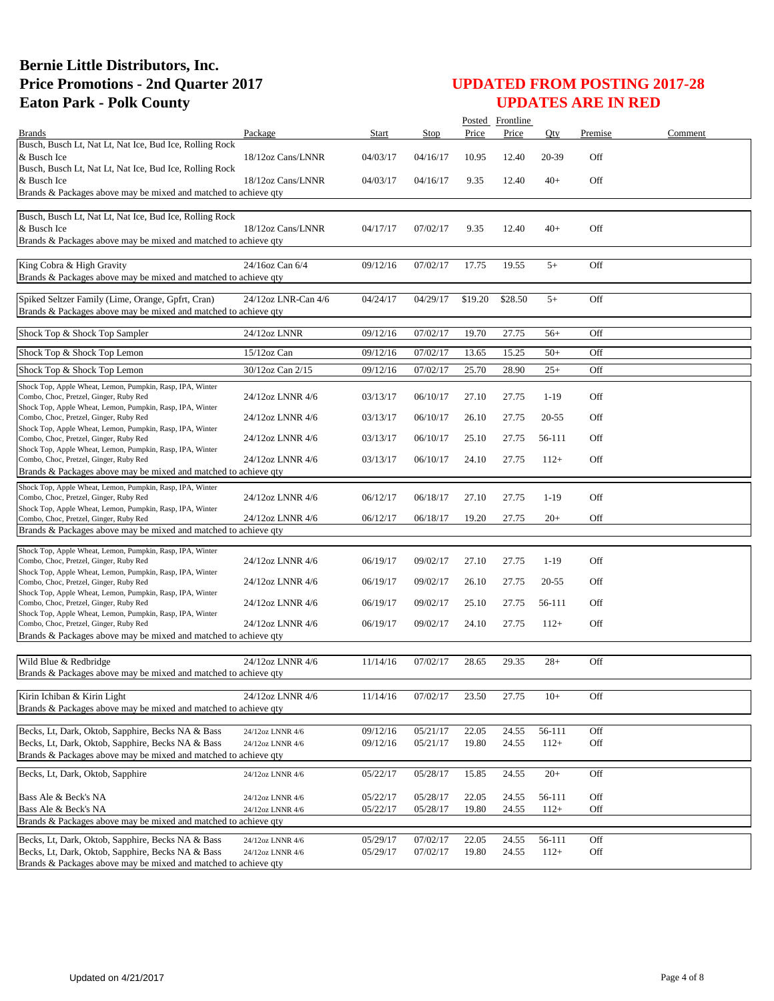|                                                                                                        |                     |          |                      |                | Posted Frontline |           |            |         |
|--------------------------------------------------------------------------------------------------------|---------------------|----------|----------------------|----------------|------------------|-----------|------------|---------|
| <b>Brands</b>                                                                                          | Package             | Start    | Stop                 | Price          | Price            | Oty       | Premise    | Comment |
| Busch, Busch Lt, Nat Lt, Nat Ice, Bud Ice, Rolling Rock                                                |                     |          |                      |                |                  |           |            |         |
| & Busch Ice<br>Busch, Busch Lt, Nat Lt, Nat Ice, Bud Ice, Rolling Rock                                 | 18/12oz Cans/LNNR   | 04/03/17 | 04/16/17             | 10.95          | 12.40            | 20-39     | Off        |         |
| & Busch Ice                                                                                            | 18/12oz Cans/LNNR   | 04/03/17 | 04/16/17             | 9.35           | 12.40            | $40+$     | Off        |         |
| Brands & Packages above may be mixed and matched to achieve qty                                        |                     |          |                      |                |                  |           |            |         |
|                                                                                                        |                     |          |                      |                |                  |           |            |         |
| Busch, Busch Lt, Nat Lt, Nat Ice, Bud Ice, Rolling Rock                                                |                     |          |                      |                |                  |           |            |         |
| & Busch Ice<br>Brands & Packages above may be mixed and matched to achieve qty                         | 18/12oz Cans/LNNR   | 04/17/17 | 07/02/17             | 9.35           | 12.40            | $40+$     | Off        |         |
|                                                                                                        |                     |          |                      |                |                  |           |            |         |
| King Cobra & High Gravity                                                                              | 24/16oz Can 6/4     | 09/12/16 | 07/02/17             | 17.75          | 19.55            | $5+$      | Off        |         |
| Brands & Packages above may be mixed and matched to achieve qty                                        |                     |          |                      |                |                  |           |            |         |
| Spiked Seltzer Family (Lime, Orange, Gpfrt, Cran)                                                      | 24/12oz LNR-Can 4/6 | 04/24/17 | 04/29/17             | \$19.20        | \$28.50          | $5+$      | Off        |         |
| Brands & Packages above may be mixed and matched to achieve qty                                        |                     |          |                      |                |                  |           |            |         |
|                                                                                                        |                     |          |                      |                |                  |           |            |         |
| Shock Top & Shock Top Sampler                                                                          | 24/12oz LNNR        | 09/12/16 | 07/02/17             | 19.70          | 27.75            | $56+$     | Off        |         |
| Shock Top & Shock Top Lemon                                                                            | 15/12oz Can         | 09/12/16 | 07/02/17             | 13.65          | 15.25            | $50+$     | Off        |         |
|                                                                                                        | 30/12oz Can 2/15    |          |                      |                |                  |           |            |         |
| Shock Top & Shock Top Lemon                                                                            |                     | 09/12/16 | 07/02/17             | 25.70          | 28.90            | $25+$     | Off        |         |
| Shock Top, Apple Wheat, Lemon, Pumpkin, Rasp, IPA, Winter<br>Combo, Choc, Pretzel, Ginger, Ruby Red    | 24/12oz LNNR 4/6    | 03/13/17 | 06/10/17             | 27.10          | 27.75            | $1-19$    | Off        |         |
| Shock Top, Apple Wheat, Lemon, Pumpkin, Rasp, IPA, Winter                                              |                     |          |                      |                |                  |           |            |         |
| Combo, Choc, Pretzel, Ginger, Ruby Red                                                                 | 24/12oz LNNR 4/6    | 03/13/17 | 06/10/17             | 26.10          | 27.75            | $20 - 55$ | Off        |         |
| Shock Top, Apple Wheat, Lemon, Pumpkin, Rasp, IPA, Winter<br>Combo, Choc, Pretzel, Ginger, Ruby Red    | 24/12oz LNNR 4/6    | 03/13/17 | 06/10/17             | 25.10          | 27.75            | 56-111    | Off        |         |
| Shock Top, Apple Wheat, Lemon, Pumpkin, Rasp, IPA, Winter                                              |                     |          |                      |                |                  |           |            |         |
| Combo, Choc, Pretzel, Ginger, Ruby Red                                                                 | 24/12oz LNNR 4/6    | 03/13/17 | 06/10/17             | 24.10          | 27.75            | $112+$    | Off        |         |
| Brands & Packages above may be mixed and matched to achieve qty                                        |                     |          |                      |                |                  |           |            |         |
| Shock Top, Apple Wheat, Lemon, Pumpkin, Rasp, IPA, Winter                                              |                     |          |                      |                |                  |           |            |         |
| Combo, Choc, Pretzel, Ginger, Ruby Red<br>Shock Top, Apple Wheat, Lemon, Pumpkin, Rasp, IPA, Winter    | 24/12oz LNNR 4/6    | 06/12/17 | 06/18/17             | 27.10          | 27.75            | $1-19$    | Off        |         |
| Combo, Choc, Pretzel, Ginger, Ruby Red                                                                 | 24/12oz LNNR 4/6    | 06/12/17 | 06/18/17             | 19.20          | 27.75            | $20+$     | Off        |         |
| Brands & Packages above may be mixed and matched to achieve qty                                        |                     |          |                      |                |                  |           |            |         |
| Shock Top, Apple Wheat, Lemon, Pumpkin, Rasp, IPA, Winter                                              |                     |          |                      |                |                  |           |            |         |
| Combo, Choc, Pretzel, Ginger, Ruby Red                                                                 | 24/12oz LNNR 4/6    | 06/19/17 | 09/02/17             | 27.10          | 27.75            | $1-19$    | Off        |         |
| Shock Top, Apple Wheat, Lemon, Pumpkin, Rasp, IPA, Winter                                              |                     |          |                      |                |                  |           |            |         |
| Combo, Choc, Pretzel, Ginger, Ruby Red<br>Shock Top, Apple Wheat, Lemon, Pumpkin, Rasp, IPA, Winter    | 24/12oz LNNR 4/6    | 06/19/17 | 09/02/17             | 26.10          | 27.75            | $20 - 55$ | Off        |         |
| Combo, Choc, Pretzel, Ginger, Ruby Red                                                                 | 24/12oz LNNR 4/6    | 06/19/17 | 09/02/17             | 25.10          | 27.75            | 56-111    | Off        |         |
| Shock Top, Apple Wheat, Lemon, Pumpkin, Rasp, IPA, Winter<br>Combo, Choc, Pretzel, Ginger, Ruby Red    | 24/12oz LNNR 4/6    | 06/19/17 | 09/02/17             | 24.10          | 27.75            | $112+$    | Off        |         |
| Brands & Packages above may be mixed and matched to achieve qty                                        |                     |          |                      |                |                  |           |            |         |
|                                                                                                        |                     |          |                      |                |                  |           |            |         |
| Wild Blue & Redbridge                                                                                  | 24/12oz LNNR 4/6    | 11/14/16 | 07/02/17             | 28.65          | 29.35            | $28+$     | Off        |         |
| Brands & Packages above may be mixed and matched to achieve qty                                        |                     |          |                      |                |                  |           |            |         |
|                                                                                                        | 24/12oz LNNR 4/6    |          |                      |                |                  |           |            |         |
| Kirin Ichiban & Kirin Light<br>Brands & Packages above may be mixed and matched to achieve qty         |                     | 11/14/16 | 07/02/17             | 23.50          | 27.75            | $10+$     | Off        |         |
|                                                                                                        |                     |          |                      |                |                  |           |            |         |
| Becks, Lt, Dark, Oktob, Sapphire, Becks NA & Bass                                                      | 24/12oz LNNR 4/6    | 09/12/16 | 05/21/17             | 22.05          | 24.55            | 56-111    | Off        |         |
| Becks, Lt, Dark, Oktob, Sapphire, Becks NA & Bass                                                      | 24/12oz LNNR 4/6    | 09/12/16 | 05/21/17             | 19.80          | 24.55            | $112+$    | Off        |         |
| Brands & Packages above may be mixed and matched to achieve qty                                        |                     |          |                      |                |                  |           |            |         |
| Becks, Lt, Dark, Oktob, Sapphire                                                                       | 24/12oz LNNR 4/6    | 05/22/17 | 05/28/17             | 15.85          | 24.55            | $20+$     | Off        |         |
|                                                                                                        |                     |          |                      |                |                  |           |            |         |
| Bass Ale & Beck's NA                                                                                   | 24/12oz LNNR 4/6    | 05/22/17 | 05/28/17             | 22.05          | 24.55            | 56-111    | Off        |         |
| Bass Ale & Beck's NA<br>Brands & Packages above may be mixed and matched to achieve qty                | 24/12oz LNNR 4/6    | 05/22/17 | 05/28/17             | 19.80          | 24.55            | $112+$    | Off        |         |
|                                                                                                        |                     |          |                      |                |                  |           |            |         |
| Becks, Lt, Dark, Oktob, Sapphire, Becks NA & Bass<br>Becks, Lt, Dark, Oktob, Sapphire, Becks NA & Bass | 24/12oz LNNR 4/6    | 05/29/17 | 07/02/17<br>07/02/17 | 22.05<br>19.80 | 24.55<br>24.55   | 56-111    | Off<br>Off |         |
| Brands & Packages above may be mixed and matched to achieve qty                                        | 24/12oz LNNR 4/6    | 05/29/17 |                      |                |                  | $112+$    |            |         |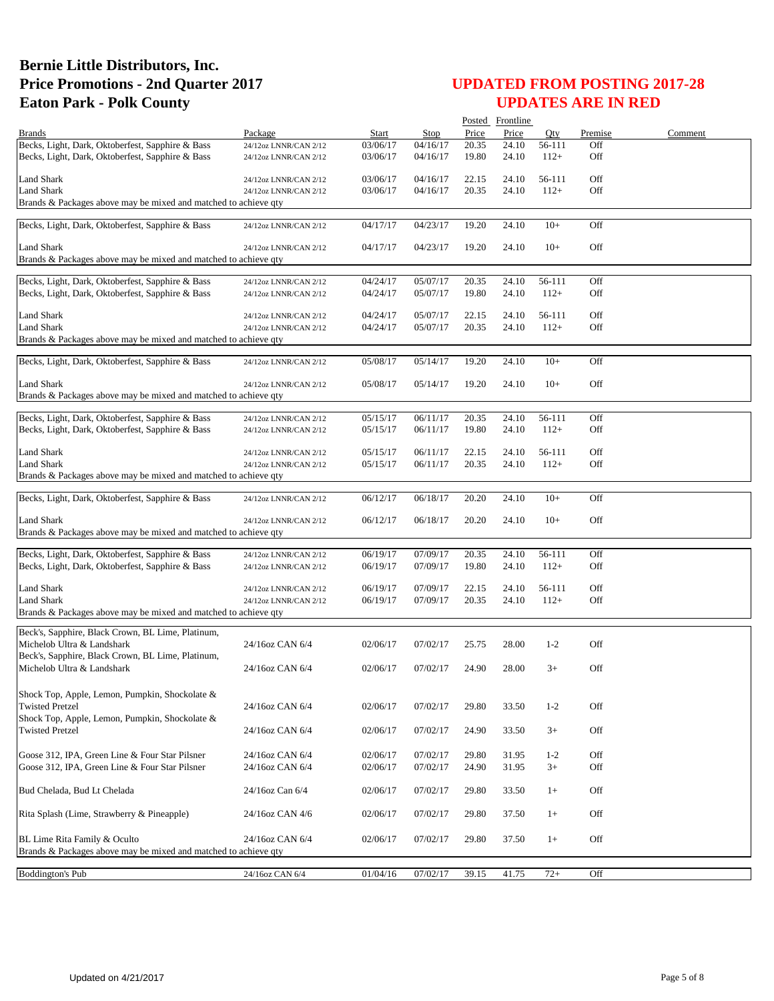|                                                                          |                       |          |          |       | Posted Frontline |         |         |         |
|--------------------------------------------------------------------------|-----------------------|----------|----------|-------|------------------|---------|---------|---------|
| <b>Brands</b>                                                            | Package               | Start    | Stop     | Price | Price            | Oty     | Premise | Comment |
| Becks, Light, Dark, Oktoberfest, Sapphire & Bass                         | 24/12oz LNNR/CAN 2/12 | 03/06/17 | 04/16/17 | 20.35 | 24.10            | 56-111  | Off     |         |
| Becks, Light, Dark, Oktoberfest, Sapphire & Bass                         | 24/12oz LNNR/CAN 2/12 | 03/06/17 | 04/16/17 | 19.80 | 24.10            | $112+$  | Off     |         |
| <b>Land Shark</b>                                                        | 24/12oz LNNR/CAN 2/12 | 03/06/17 | 04/16/17 | 22.15 | 24.10            | 56-111  | Off     |         |
| <b>Land Shark</b>                                                        | 24/12oz LNNR/CAN 2/12 | 03/06/17 | 04/16/17 | 20.35 | 24.10            | $112+$  | Off     |         |
| Brands & Packages above may be mixed and matched to achieve qty          |                       |          |          |       |                  |         |         |         |
| Becks, Light, Dark, Oktoberfest, Sapphire & Bass                         | 24/12oz LNNR/CAN 2/12 | 04/17/17 | 04/23/17 | 19.20 | 24.10            | $10+$   | Off     |         |
|                                                                          |                       |          |          |       |                  |         |         |         |
| Land Shark                                                               | 24/12oz LNNR/CAN 2/12 | 04/17/17 | 04/23/17 | 19.20 | 24.10            | $10+$   | Off     |         |
| Brands & Packages above may be mixed and matched to achieve qty          |                       |          |          |       |                  |         |         |         |
| Becks, Light, Dark, Oktoberfest, Sapphire & Bass                         | 24/12oz LNNR/CAN 2/12 | 04/24/17 | 05/07/17 | 20.35 | 24.10            | 56-111  | Off     |         |
| Becks, Light, Dark, Oktoberfest, Sapphire & Bass                         | 24/12oz LNNR/CAN 2/12 | 04/24/17 | 05/07/17 | 19.80 | 24.10            | $112+$  | Off     |         |
|                                                                          |                       |          |          |       |                  |         |         |         |
| <b>Land Shark</b>                                                        | 24/12oz LNNR/CAN 2/12 | 04/24/17 | 05/07/17 | 22.15 | 24.10            | 56-111  | Off     |         |
| <b>Land Shark</b>                                                        | 24/12oz LNNR/CAN 2/12 | 04/24/17 | 05/07/17 | 20.35 | 24.10            | $112+$  | Off     |         |
| Brands & Packages above may be mixed and matched to achieve qty          |                       |          |          |       |                  |         |         |         |
| Becks, Light, Dark, Oktoberfest, Sapphire & Bass                         | 24/12oz LNNR/CAN 2/12 | 05/08/17 | 05/14/17 | 19.20 | 24.10            | $10+$   | Off     |         |
|                                                                          |                       |          |          |       |                  |         |         |         |
| Land Shark                                                               | 24/12oz LNNR/CAN 2/12 | 05/08/17 | 05/14/17 | 19.20 | 24.10            | $10+$   | Off     |         |
| Brands & Packages above may be mixed and matched to achieve gty          |                       |          |          |       |                  |         |         |         |
| Becks, Light, Dark, Oktoberfest, Sapphire & Bass                         | 24/12oz LNNR/CAN 2/12 | 05/15/17 | 06/11/17 | 20.35 | 24.10            | 56-111  | Off     |         |
| Becks, Light, Dark, Oktoberfest, Sapphire & Bass                         | 24/12oz LNNR/CAN 2/12 | 05/15/17 | 06/11/17 | 19.80 | 24.10            | $112+$  | Off     |         |
|                                                                          |                       |          |          |       |                  |         |         |         |
| Land Shark                                                               | 24/12oz LNNR/CAN 2/12 | 05/15/17 | 06/11/17 | 22.15 | 24.10            | 56-111  | Off     |         |
| <b>Land Shark</b>                                                        | 24/12oz LNNR/CAN 2/12 | 05/15/17 | 06/11/17 | 20.35 | 24.10            | $112+$  | Off     |         |
| Brands & Packages above may be mixed and matched to achieve qty          |                       |          |          |       |                  |         |         |         |
| Becks, Light, Dark, Oktoberfest, Sapphire & Bass                         | 24/12oz LNNR/CAN 2/12 | 06/12/17 | 06/18/17 | 20.20 | 24.10            | $10+$   | Off     |         |
|                                                                          |                       |          |          |       |                  |         |         |         |
| Land Shark                                                               | 24/12oz LNNR/CAN 2/12 | 06/12/17 | 06/18/17 | 20.20 | 24.10            | $10+$   | Off     |         |
| Brands & Packages above may be mixed and matched to achieve qty          |                       |          |          |       |                  |         |         |         |
| Becks, Light, Dark, Oktoberfest, Sapphire & Bass                         | 24/12oz LNNR/CAN 2/12 | 06/19/17 | 07/09/17 | 20.35 | 24.10            | 56-111  | Off     |         |
| Becks, Light, Dark, Oktoberfest, Sapphire & Bass                         | 24/12oz LNNR/CAN 2/12 | 06/19/17 | 07/09/17 | 19.80 | 24.10            | $112+$  | Off     |         |
|                                                                          |                       |          |          |       |                  |         |         |         |
| <b>Land Shark</b>                                                        | 24/12oz LNNR/CAN 2/12 | 06/19/17 | 07/09/17 | 22.15 | 24.10            | 56-111  | Off     |         |
| <b>Land Shark</b>                                                        | 24/12oz LNNR/CAN 2/12 | 06/19/17 | 07/09/17 | 20.35 | 24.10            | $112+$  | Off     |         |
| Brands & Packages above may be mixed and matched to achieve qty          |                       |          |          |       |                  |         |         |         |
| Beck's, Sapphire, Black Crown, BL Lime, Platinum,                        |                       |          |          |       |                  |         |         |         |
| Michelob Ultra & Landshark                                               | 24/16oz CAN 6/4       | 02/06/17 | 07/02/17 | 25.75 | 28.00            | $1-2$   | Off     |         |
| Beck's, Sapphire, Black Crown, BL Lime, Platinum,                        |                       |          |          |       |                  |         |         |         |
| Michelob Ultra & Landshark                                               | 24/16oz CAN 6/4       | 02/06/17 | 07/02/17 | 24.90 | 28.00            | $3+$    | Off     |         |
|                                                                          |                       |          |          |       |                  |         |         |         |
| Shock Top, Apple, Lemon, Pumpkin, Shockolate &                           |                       |          |          |       |                  |         |         |         |
| <b>Twisted Pretzel</b>                                                   | 24/16oz CAN 6/4       | 02/06/17 | 07/02/17 | 29.80 | 33.50            | $1 - 2$ | Off     |         |
| Shock Top, Apple, Lemon, Pumpkin, Shockolate &<br><b>Twisted Pretzel</b> | 24/16oz CAN 6/4       |          | 07/02/17 |       |                  |         | Off     |         |
|                                                                          |                       | 02/06/17 |          | 24.90 | 33.50            | $3+$    |         |         |
| Goose 312, IPA, Green Line & Four Star Pilsner                           | 24/16oz CAN 6/4       | 02/06/17 | 07/02/17 | 29.80 | 31.95            | $1 - 2$ | Off     |         |
| Goose 312, IPA, Green Line & Four Star Pilsner                           | 24/16oz CAN 6/4       | 02/06/17 | 07/02/17 | 24.90 | 31.95            | $3+$    | Off     |         |
|                                                                          |                       |          |          |       |                  |         |         |         |
| Bud Chelada, Bud Lt Chelada                                              | 24/16oz Can 6/4       | 02/06/17 | 07/02/17 | 29.80 | 33.50            | $1+$    | Off     |         |
|                                                                          |                       |          |          |       |                  |         |         |         |
| Rita Splash (Lime, Strawberry & Pineapple)                               | 24/16oz CAN 4/6       | 02/06/17 | 07/02/17 | 29.80 | 37.50            | $1+$    | Off     |         |
| BL Lime Rita Family & Oculto                                             |                       |          |          |       |                  |         |         |         |
| Brands & Packages above may be mixed and matched to achieve qty          | 24/16oz CAN 6/4       | 02/06/17 | 07/02/17 | 29.80 | 37.50            | $1+$    | Off     |         |
|                                                                          |                       |          |          |       |                  |         |         |         |
| <b>Boddington's Pub</b>                                                  | 24/16oz CAN 6/4       | 01/04/16 | 07/02/17 | 39.15 | 41.75            | $72+$   | Off     |         |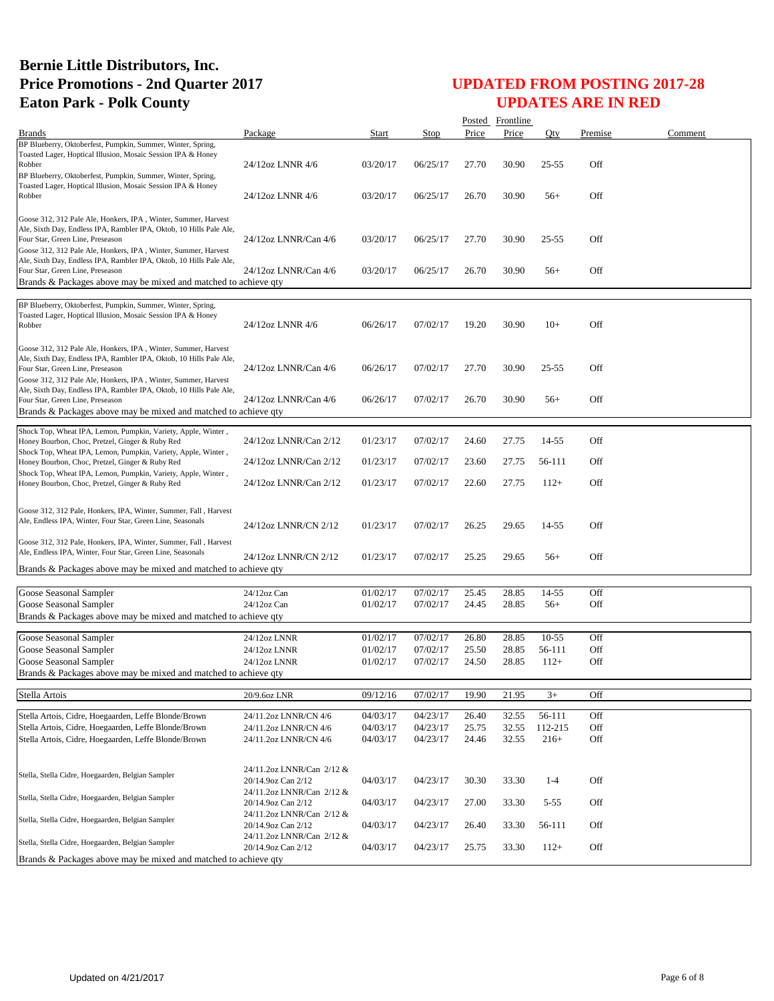|                                                                                                                                                                                                                                             |                                                 |              |          |       | Posted Frontline |           |         |         |
|---------------------------------------------------------------------------------------------------------------------------------------------------------------------------------------------------------------------------------------------|-------------------------------------------------|--------------|----------|-------|------------------|-----------|---------|---------|
| <b>Brands</b>                                                                                                                                                                                                                               | Package                                         | <b>Start</b> | Stop     | Price | Price            | Qty       | Premise | Comment |
| BP Blueberry, Oktoberfest, Pumpkin, Summer, Winter, Spring,<br>Toasted Lager, Hoptical Illusion, Mosaic Session IPA & Honey<br>Robber                                                                                                       | 24/12oz LNNR 4/6                                | 03/20/17     | 06/25/17 | 27.70 | 30.90            | $25 - 55$ | Off     |         |
| BP Blueberry, Oktoberfest, Pumpkin, Summer, Winter, Spring,<br>Toasted Lager, Hoptical Illusion, Mosaic Session IPA & Honey<br>Robber                                                                                                       | 24/12oz LNNR 4/6                                | 03/20/17     | 06/25/17 | 26.70 | 30.90            | $56+$     | Off     |         |
| Goose 312, 312 Pale Ale, Honkers, IPA, Winter, Summer, Harvest<br>Ale, Sixth Day, Endless IPA, Rambler IPA, Oktob, 10 Hills Pale Ale,<br>Four Star, Green Line, Preseason                                                                   | 24/12oz LNNR/Can 4/6                            | 03/20/17     | 06/25/17 | 27.70 | 30.90            | $25 - 55$ | Off     |         |
| Goose 312, 312 Pale Ale, Honkers, IPA, Winter, Summer, Harvest<br>Ale, Sixth Day, Endless IPA, Rambler IPA, Oktob, 10 Hills Pale Ale,<br>Four Star, Green Line, Preseason                                                                   | 24/12oz LNNR/Can 4/6                            | 03/20/17     | 06/25/17 | 26.70 | 30.90            | $56+$     | Off     |         |
| Brands & Packages above may be mixed and matched to achieve qty                                                                                                                                                                             |                                                 |              |          |       |                  |           |         |         |
| BP Blueberry, Oktoberfest, Pumpkin, Summer, Winter, Spring,<br>Toasted Lager, Hoptical Illusion, Mosaic Session IPA & Honey<br>Robber                                                                                                       | 24/12oz LNNR 4/6                                | 06/26/17     | 07/02/17 | 19.20 | 30.90            | $10+$     | Off     |         |
| Goose 312, 312 Pale Ale, Honkers, IPA, Winter, Summer, Harvest<br>Ale, Sixth Day, Endless IPA, Rambler IPA, Oktob, 10 Hills Pale Ale,<br>Four Star, Green Line, Preseason<br>Goose 312, 312 Pale Ale, Honkers, IPA, Winter, Summer, Harvest | 24/12oz LNNR/Can 4/6                            | 06/26/17     | 07/02/17 | 27.70 | 30.90            | $25 - 55$ | Off     |         |
| Ale, Sixth Day, Endless IPA, Rambler IPA, Oktob, 10 Hills Pale Ale,<br>Four Star, Green Line, Preseason<br>Brands & Packages above may be mixed and matched to achieve qty                                                                  | 24/12oz LNNR/Can 4/6                            | 06/26/17     | 07/02/17 | 26.70 | 30.90            | $56+$     | Off     |         |
| Shock Top, Wheat IPA, Lemon, Pumpkin, Variety, Apple, Winter,<br>Honey Bourbon, Choc, Pretzel, Ginger & Ruby Red                                                                                                                            | 24/12oz LNNR/Can 2/12                           | 01/23/17     | 07/02/17 | 24.60 | 27.75            | 14-55     | Off     |         |
| Shock Top, Wheat IPA, Lemon, Pumpkin, Variety, Apple, Winter,<br>Honey Bourbon, Choc, Pretzel, Ginger & Ruby Red<br>Shock Top, Wheat IPA, Lemon, Pumpkin, Variety, Apple, Winter,                                                           | 24/12oz LNNR/Can 2/12                           | 01/23/17     | 07/02/17 | 23.60 | 27.75            | 56-111    | Off     |         |
| Honey Bourbon, Choc, Pretzel, Ginger & Ruby Red                                                                                                                                                                                             | 24/12oz LNNR/Can 2/12                           | 01/23/17     | 07/02/17 | 22.60 | 27.75            | $112+$    | Off     |         |
| Goose 312, 312 Pale, Honkers, IPA, Winter, Summer, Fall, Harvest<br>Ale, Endless IPA, Winter, Four Star, Green Line, Seasonals                                                                                                              | 24/12oz LNNR/CN 2/12                            | 01/23/17     | 07/02/17 | 26.25 | 29.65            | 14-55     | Off     |         |
| Goose 312, 312 Pale, Honkers, IPA, Winter, Summer, Fall, Harvest<br>Ale, Endless IPA, Winter, Four Star, Green Line, Seasonals                                                                                                              | 24/12oz LNNR/CN 2/12                            | 01/23/17     | 07/02/17 | 25.25 | 29.65            | $56+$     | Off     |         |
| Brands & Packages above may be mixed and matched to achieve qty                                                                                                                                                                             |                                                 |              |          |       |                  |           |         |         |
| Goose Seasonal Sampler                                                                                                                                                                                                                      | 24/12oz Can                                     | 01/02/17     | 07/02/17 | 25.45 | 28.85            | 14-55     | Off     |         |
| Goose Seasonal Sampler                                                                                                                                                                                                                      | $24/12$ oz Can                                  | 01/02/17     | 07/02/17 | 24.45 | 28.85            | $56+$     | Off     |         |
| Brands & Packages above may be mixed and matched to achieve qty                                                                                                                                                                             |                                                 |              |          |       |                  |           |         |         |
| Goose Seasonal Sampler                                                                                                                                                                                                                      | 24/12oz LNNR                                    | 01/02/17     | 07/02/17 | 26.80 | 28.85            | $10 - 55$ | Off     |         |
| Goose Seasonal Sampler                                                                                                                                                                                                                      | 24/12oz LNNR                                    | 01/02/17     | 07/02/17 | 25.50 | 28.85            | 56-111    | Off     |         |
| Goose Seasonal Sampler                                                                                                                                                                                                                      | 24/12oz LNNR                                    | 01/02/17     | 07/02/17 | 24.50 | 28.85            | $112+$    | Off     |         |
| Brands & Packages above may be mixed and matched to achieve qty                                                                                                                                                                             |                                                 |              |          |       |                  |           |         |         |
| Stella Artois                                                                                                                                                                                                                               | 20/9.6oz LNR                                    | 09/12/16     | 07/02/17 | 19.90 | 21.95            | $3+$      | Off     |         |
| Stella Artois, Cidre, Hoegaarden, Leffe Blonde/Brown                                                                                                                                                                                        | 24/11.2oz LNNR/CN 4/6                           | 04/03/17     | 04/23/17 | 26.40 | 32.55            | 56-111    | Off     |         |
| Stella Artois, Cidre, Hoegaarden, Leffe Blonde/Brown                                                                                                                                                                                        | 24/11.2oz LNNR/CN 4/6                           | 04/03/17     | 04/23/17 | 25.75 | 32.55            | 112-215   | Off     |         |
| Stella Artois, Cidre, Hoegaarden, Leffe Blonde/Brown                                                                                                                                                                                        | 24/11.2oz LNNR/CN 4/6                           | 04/03/17     | 04/23/17 | 24.46 | 32.55            | $216+$    | Off     |         |
|                                                                                                                                                                                                                                             |                                                 |              |          |       |                  |           |         |         |
| Stella, Stella Cidre, Hoegaarden, Belgian Sampler                                                                                                                                                                                           | 24/11.2oz LNNR/Can 2/12 &<br>20/14.9oz Can 2/12 | 04/03/17     | 04/23/17 | 30.30 | 33.30            | $1 - 4$   | Off     |         |
| Stella, Stella Cidre, Hoegaarden, Belgian Sampler                                                                                                                                                                                           | 24/11.2oz LNNR/Can 2/12 &<br>20/14.9oz Can 2/12 | 04/03/17     | 04/23/17 | 27.00 | 33.30            | $5 - 55$  | Off     |         |
| Stella, Stella Cidre, Hoegaarden, Belgian Sampler                                                                                                                                                                                           | 24/11.2oz LNNR/Can 2/12 &<br>20/14.9oz Can 2/12 | 04/03/17     | 04/23/17 | 26.40 | 33.30            | 56-111    | Off     |         |
| Stella, Stella Cidre, Hoegaarden, Belgian Sampler                                                                                                                                                                                           | 24/11.2oz LNNR/Can 2/12 &<br>20/14.9oz Can 2/12 | 04/03/17     | 04/23/17 | 25.75 | 33.30            | $112+$    | Off     |         |
| Brands & Packages above may be mixed and matched to achieve qty                                                                                                                                                                             |                                                 |              |          |       |                  |           |         |         |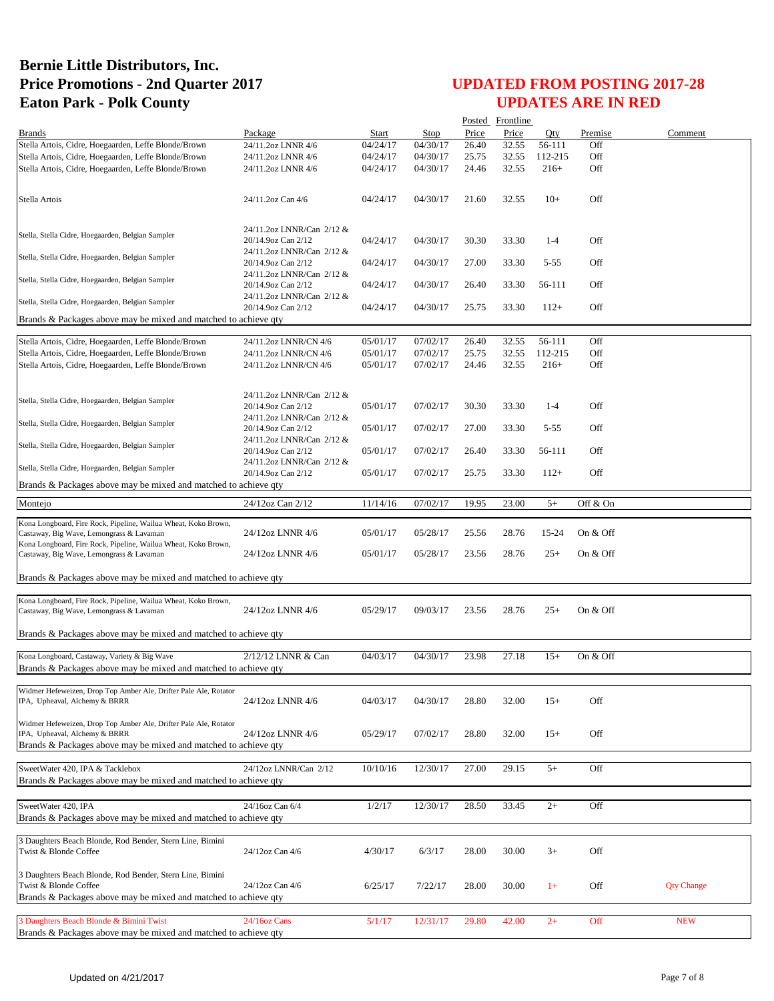| Price<br>Price<br>Oty<br>Premise<br>Comment<br><b>Brands</b><br>Package<br>Start<br>Stop<br>Stella Artois, Cidre, Hoegaarden, Leffe Blonde/Brown<br>26.40<br>32.55<br>Off<br>24/11.2oz LNNR 4/6<br>04/24/17<br>04/30/17<br>56-111<br>Off<br>Stella Artois, Cidre, Hoegaarden, Leffe Blonde/Brown<br>04/24/17<br>04/30/17<br>25.75<br>32.55<br>112-215<br>24/11.2oz LNNR 4/6<br>Stella Artois, Cidre, Hoegaarden, Leffe Blonde/Brown<br>04/30/17<br>Off<br>04/24/17<br>24.46<br>32.55<br>$216+$<br>24/11.2oz LNNR 4/6<br>$10+$<br>Off<br>04/24/17<br>04/30/17<br>21.60<br>32.55<br>Stella Artois<br>24/11.2oz Can 4/6<br>24/11.2oz LNNR/Can 2/12 &<br>Stella, Stella Cidre, Hoegaarden, Belgian Sampler<br>Off<br>04/24/17<br>04/30/17<br>30.30<br>33.30<br>$1-4$<br>20/14.9oz Can 2/12<br>24/11.2oz LNNR/Can 2/12 &<br>Stella, Stella Cidre, Hoegaarden, Belgian Sampler<br>04/30/17<br>Off<br>04/24/17<br>27.00<br>33.30<br>$5 - 55$<br>20/14.9oz Can 2/12<br>24/11.2oz LNNR/Can 2/12 &<br>Stella, Stella Cidre, Hoegaarden, Belgian Sampler<br>04/30/17<br>Off<br>04/24/17<br>26.40<br>33.30<br>56-111<br>20/14.9oz Can 2/12<br>24/11.2oz LNNR/Can 2/12 &<br>Stella, Stella Cidre, Hoegaarden, Belgian Sampler<br>04/30/17<br>Off<br>20/14.9oz Can 2/12<br>04/24/17<br>25.75<br>33.30<br>$112+$<br>Brands & Packages above may be mixed and matched to achieve qty<br>07/02/17<br>32.55<br>56-111<br>Off<br>Stella Artois, Cidre, Hoegaarden, Leffe Blonde/Brown<br>24/11.2oz LNNR/CN 4/6<br>05/01/17<br>26.40<br>07/02/17<br>25.75<br>112-215<br>Off<br>05/01/17<br>32.55<br>Stella Artois, Cidre, Hoegaarden, Leffe Blonde/Brown<br>24/11.2oz LNNR/CN 4/6<br>07/02/17<br>Off<br>Stella Artois, Cidre, Hoegaarden, Leffe Blonde/Brown<br>05/01/17<br>24.46<br>32.55<br>$216+$<br>24/11.2oz LNNR/CN 4/6<br>24/11.2oz LNNR/Can 2/12 &<br>Stella, Stella Cidre, Hoegaarden, Belgian Sampler<br>05/01/17<br>07/02/17<br>30.30<br>33.30<br>Off<br>20/14.9oz Can 2/12<br>$1 - 4$<br>24/11.2oz LNNR/Can 2/12 &<br>Stella, Stella Cidre, Hoegaarden, Belgian Sampler<br>07/02/17<br>Off<br>05/01/17<br>27.00<br>33.30<br>$5 - 55$<br>20/14.9oz Can 2/12<br>24/11.2oz LNNR/Can 2/12 &<br>Stella, Stella Cidre, Hoegaarden, Belgian Sampler<br>07/02/17<br>20/14.9oz Can 2/12<br>05/01/17<br>26.40<br>33.30<br>56-111<br>Off<br>24/11.2oz LNNR/Can 2/12 &<br>Stella, Stella Cidre, Hoegaarden, Belgian Sampler<br>07/02/17<br>Off<br>20/14.9oz Can 2/12<br>05/01/17<br>25.75<br>33.30<br>$112+$<br>Brands & Packages above may be mixed and matched to achieve qty<br>Montejo<br>11/14/16<br>07/02/17<br>19.95<br>$5+$<br>Off & On<br>24/12oz Can 2/12<br>23.00<br>Kona Longboard, Fire Rock, Pipeline, Wailua Wheat, Koko Brown,<br>24/12oz LNNR 4/6<br>05/01/17<br>05/28/17<br>25.56<br>28.76<br>15-24<br>On $&$ Off<br>Castaway, Big Wave, Lemongrass & Lavaman<br>Kona Longboard, Fire Rock, Pipeline, Wailua Wheat, Koko Brown,<br>05/28/17<br>28.76<br>24/12oz LNNR 4/6<br>05/01/17<br>23.56<br>$25+$<br>On & Off<br>Castaway, Big Wave, Lemongrass & Lavaman<br>Brands & Packages above may be mixed and matched to achieve qty<br>Kona Longboard, Fire Rock, Pipeline, Wailua Wheat, Koko Brown,<br>09/03/17<br>On & Off<br>24/12oz LNNR 4/6<br>05/29/17<br>23.56<br>28.76<br>$25+$<br>Castaway, Big Wave, Lemongrass & Lavaman<br>Brands & Packages above may be mixed and matched to achieve gty<br>Kona Longboard, Castaway, Variety & Big Wave<br>2/12/12 LNNR & Can<br>04/03/17<br>04/30/17<br>23.98<br>27.18<br>$15+$<br>On & Off<br>Brands & Packages above may be mixed and matched to achieve qty<br>Widmer Hefeweizen, Drop Top Amber Ale, Drifter Pale Ale, Rotator<br>04/03/17<br>04/30/17<br>Off<br>IPA, Upheaval, Alchemy & BRRR<br>24/12oz LNNR 4/6<br>28.80<br>32.00<br>$15+$<br>Widmer Hefeweizen, Drop Top Amber Ale, Drifter Pale Ale, Rotator<br>Off<br>IPA, Upheaval, Alchemy & BRRR<br>24/12oz LNNR 4/6<br>05/29/17<br>07/02/17<br>28.80<br>32.00<br>$15+$<br>Brands & Packages above may be mixed and matched to achieve qty<br>27.00<br>29.15<br>$5+$<br>Off<br>24/12oz LNNR/Can 2/12<br>10/10/16<br>12/30/17<br>SweetWater 420, IPA & Tacklebox<br>Brands & Packages above may be mixed and matched to achieve qty<br>SweetWater 420, IPA<br>24/16oz Can 6/4<br>1/2/17<br>12/30/17<br>28.50<br>33.45<br>$2+$<br>Off<br>Brands & Packages above may be mixed and matched to achieve qty<br>3 Daughters Beach Blonde, Rod Bender, Stern Line, Bimini<br>6/3/17<br>Off<br>Twist & Blonde Coffee<br>24/12oz Can 4/6<br>4/30/17<br>28.00<br>30.00<br>$3+$<br>3 Daughters Beach Blonde, Rod Bender, Stern Line, Bimini<br>Off<br>Twist & Blonde Coffee<br>24/12oz Can 4/6<br>6/25/17<br>7/22/17<br>28.00<br>30.00<br>$1+$<br><b>Qty Change</b><br>Brands & Packages above may be mixed and matched to achieve qty<br>29.80<br>42.00<br>Off<br>24/16oz Cans<br>5/1/17<br>12/31/17<br>$2+$<br><b>NEW</b><br>3 Daughters Beach Blonde & Bimini Twist<br>Brands & Packages above may be mixed and matched to achieve qty |  |  | Posted Frontline |  |  |
|------------------------------------------------------------------------------------------------------------------------------------------------------------------------------------------------------------------------------------------------------------------------------------------------------------------------------------------------------------------------------------------------------------------------------------------------------------------------------------------------------------------------------------------------------------------------------------------------------------------------------------------------------------------------------------------------------------------------------------------------------------------------------------------------------------------------------------------------------------------------------------------------------------------------------------------------------------------------------------------------------------------------------------------------------------------------------------------------------------------------------------------------------------------------------------------------------------------------------------------------------------------------------------------------------------------------------------------------------------------------------------------------------------------------------------------------------------------------------------------------------------------------------------------------------------------------------------------------------------------------------------------------------------------------------------------------------------------------------------------------------------------------------------------------------------------------------------------------------------------------------------------------------------------------------------------------------------------------------------------------------------------------------------------------------------------------------------------------------------------------------------------------------------------------------------------------------------------------------------------------------------------------------------------------------------------------------------------------------------------------------------------------------------------------------------------------------------------------------------------------------------------------------------------------------------------------------------------------------------------------------------------------------------------------------------------------------------------------------------------------------------------------------------------------------------------------------------------------------------------------------------------------------------------------------------------------------------------------------------------------------------------------------------------------------------------------------------------------------------------------------------------------------------------------------------------------------------------------------------------------------------------------------------------------------------------------------------------------------------------------------------------------------------------------------------------------------------------------------------------------------------------------------------------------------------------------------------------------------------------------------------------------------------------------------------------------------------------------------------------------------------------------------------------------------------------------------------------------------------------------------------------------------------------------------------------------------------------------------------------------------------------------------------------------------------------------------------------------------------------------------------------------------------------------------------------------------------------------------------------------------------------------------------------------------------------------------------------------------------------------------------------------------------------------------------------------------------------------------------------------------------------------------------------------------------------------------------------------------------------------------------------------------------------------------------------------------------------------------------------------------------------------------------------------------------------------------------------------------------------------------------------------------------------------------------------------------------------------------------------------------------------------------------------|--|--|------------------|--|--|
|                                                                                                                                                                                                                                                                                                                                                                                                                                                                                                                                                                                                                                                                                                                                                                                                                                                                                                                                                                                                                                                                                                                                                                                                                                                                                                                                                                                                                                                                                                                                                                                                                                                                                                                                                                                                                                                                                                                                                                                                                                                                                                                                                                                                                                                                                                                                                                                                                                                                                                                                                                                                                                                                                                                                                                                                                                                                                                                                                                                                                                                                                                                                                                                                                                                                                                                                                                                                                                                                                                                                                                                                                                                                                                                                                                                                                                                                                                                                                                                                                                                                                                                                                                                                                                                                                                                                                                                                                                                                                                                                                                                                                                                                                                                                                                                                                                                                                                                                                                                                                                          |  |  |                  |  |  |
|                                                                                                                                                                                                                                                                                                                                                                                                                                                                                                                                                                                                                                                                                                                                                                                                                                                                                                                                                                                                                                                                                                                                                                                                                                                                                                                                                                                                                                                                                                                                                                                                                                                                                                                                                                                                                                                                                                                                                                                                                                                                                                                                                                                                                                                                                                                                                                                                                                                                                                                                                                                                                                                                                                                                                                                                                                                                                                                                                                                                                                                                                                                                                                                                                                                                                                                                                                                                                                                                                                                                                                                                                                                                                                                                                                                                                                                                                                                                                                                                                                                                                                                                                                                                                                                                                                                                                                                                                                                                                                                                                                                                                                                                                                                                                                                                                                                                                                                                                                                                                                          |  |  |                  |  |  |
|                                                                                                                                                                                                                                                                                                                                                                                                                                                                                                                                                                                                                                                                                                                                                                                                                                                                                                                                                                                                                                                                                                                                                                                                                                                                                                                                                                                                                                                                                                                                                                                                                                                                                                                                                                                                                                                                                                                                                                                                                                                                                                                                                                                                                                                                                                                                                                                                                                                                                                                                                                                                                                                                                                                                                                                                                                                                                                                                                                                                                                                                                                                                                                                                                                                                                                                                                                                                                                                                                                                                                                                                                                                                                                                                                                                                                                                                                                                                                                                                                                                                                                                                                                                                                                                                                                                                                                                                                                                                                                                                                                                                                                                                                                                                                                                                                                                                                                                                                                                                                                          |  |  |                  |  |  |
|                                                                                                                                                                                                                                                                                                                                                                                                                                                                                                                                                                                                                                                                                                                                                                                                                                                                                                                                                                                                                                                                                                                                                                                                                                                                                                                                                                                                                                                                                                                                                                                                                                                                                                                                                                                                                                                                                                                                                                                                                                                                                                                                                                                                                                                                                                                                                                                                                                                                                                                                                                                                                                                                                                                                                                                                                                                                                                                                                                                                                                                                                                                                                                                                                                                                                                                                                                                                                                                                                                                                                                                                                                                                                                                                                                                                                                                                                                                                                                                                                                                                                                                                                                                                                                                                                                                                                                                                                                                                                                                                                                                                                                                                                                                                                                                                                                                                                                                                                                                                                                          |  |  |                  |  |  |
|                                                                                                                                                                                                                                                                                                                                                                                                                                                                                                                                                                                                                                                                                                                                                                                                                                                                                                                                                                                                                                                                                                                                                                                                                                                                                                                                                                                                                                                                                                                                                                                                                                                                                                                                                                                                                                                                                                                                                                                                                                                                                                                                                                                                                                                                                                                                                                                                                                                                                                                                                                                                                                                                                                                                                                                                                                                                                                                                                                                                                                                                                                                                                                                                                                                                                                                                                                                                                                                                                                                                                                                                                                                                                                                                                                                                                                                                                                                                                                                                                                                                                                                                                                                                                                                                                                                                                                                                                                                                                                                                                                                                                                                                                                                                                                                                                                                                                                                                                                                                                                          |  |  |                  |  |  |
|                                                                                                                                                                                                                                                                                                                                                                                                                                                                                                                                                                                                                                                                                                                                                                                                                                                                                                                                                                                                                                                                                                                                                                                                                                                                                                                                                                                                                                                                                                                                                                                                                                                                                                                                                                                                                                                                                                                                                                                                                                                                                                                                                                                                                                                                                                                                                                                                                                                                                                                                                                                                                                                                                                                                                                                                                                                                                                                                                                                                                                                                                                                                                                                                                                                                                                                                                                                                                                                                                                                                                                                                                                                                                                                                                                                                                                                                                                                                                                                                                                                                                                                                                                                                                                                                                                                                                                                                                                                                                                                                                                                                                                                                                                                                                                                                                                                                                                                                                                                                                                          |  |  |                  |  |  |
|                                                                                                                                                                                                                                                                                                                                                                                                                                                                                                                                                                                                                                                                                                                                                                                                                                                                                                                                                                                                                                                                                                                                                                                                                                                                                                                                                                                                                                                                                                                                                                                                                                                                                                                                                                                                                                                                                                                                                                                                                                                                                                                                                                                                                                                                                                                                                                                                                                                                                                                                                                                                                                                                                                                                                                                                                                                                                                                                                                                                                                                                                                                                                                                                                                                                                                                                                                                                                                                                                                                                                                                                                                                                                                                                                                                                                                                                                                                                                                                                                                                                                                                                                                                                                                                                                                                                                                                                                                                                                                                                                                                                                                                                                                                                                                                                                                                                                                                                                                                                                                          |  |  |                  |  |  |
|                                                                                                                                                                                                                                                                                                                                                                                                                                                                                                                                                                                                                                                                                                                                                                                                                                                                                                                                                                                                                                                                                                                                                                                                                                                                                                                                                                                                                                                                                                                                                                                                                                                                                                                                                                                                                                                                                                                                                                                                                                                                                                                                                                                                                                                                                                                                                                                                                                                                                                                                                                                                                                                                                                                                                                                                                                                                                                                                                                                                                                                                                                                                                                                                                                                                                                                                                                                                                                                                                                                                                                                                                                                                                                                                                                                                                                                                                                                                                                                                                                                                                                                                                                                                                                                                                                                                                                                                                                                                                                                                                                                                                                                                                                                                                                                                                                                                                                                                                                                                                                          |  |  |                  |  |  |
|                                                                                                                                                                                                                                                                                                                                                                                                                                                                                                                                                                                                                                                                                                                                                                                                                                                                                                                                                                                                                                                                                                                                                                                                                                                                                                                                                                                                                                                                                                                                                                                                                                                                                                                                                                                                                                                                                                                                                                                                                                                                                                                                                                                                                                                                                                                                                                                                                                                                                                                                                                                                                                                                                                                                                                                                                                                                                                                                                                                                                                                                                                                                                                                                                                                                                                                                                                                                                                                                                                                                                                                                                                                                                                                                                                                                                                                                                                                                                                                                                                                                                                                                                                                                                                                                                                                                                                                                                                                                                                                                                                                                                                                                                                                                                                                                                                                                                                                                                                                                                                          |  |  |                  |  |  |
|                                                                                                                                                                                                                                                                                                                                                                                                                                                                                                                                                                                                                                                                                                                                                                                                                                                                                                                                                                                                                                                                                                                                                                                                                                                                                                                                                                                                                                                                                                                                                                                                                                                                                                                                                                                                                                                                                                                                                                                                                                                                                                                                                                                                                                                                                                                                                                                                                                                                                                                                                                                                                                                                                                                                                                                                                                                                                                                                                                                                                                                                                                                                                                                                                                                                                                                                                                                                                                                                                                                                                                                                                                                                                                                                                                                                                                                                                                                                                                                                                                                                                                                                                                                                                                                                                                                                                                                                                                                                                                                                                                                                                                                                                                                                                                                                                                                                                                                                                                                                                                          |  |  |                  |  |  |
|                                                                                                                                                                                                                                                                                                                                                                                                                                                                                                                                                                                                                                                                                                                                                                                                                                                                                                                                                                                                                                                                                                                                                                                                                                                                                                                                                                                                                                                                                                                                                                                                                                                                                                                                                                                                                                                                                                                                                                                                                                                                                                                                                                                                                                                                                                                                                                                                                                                                                                                                                                                                                                                                                                                                                                                                                                                                                                                                                                                                                                                                                                                                                                                                                                                                                                                                                                                                                                                                                                                                                                                                                                                                                                                                                                                                                                                                                                                                                                                                                                                                                                                                                                                                                                                                                                                                                                                                                                                                                                                                                                                                                                                                                                                                                                                                                                                                                                                                                                                                                                          |  |  |                  |  |  |
|                                                                                                                                                                                                                                                                                                                                                                                                                                                                                                                                                                                                                                                                                                                                                                                                                                                                                                                                                                                                                                                                                                                                                                                                                                                                                                                                                                                                                                                                                                                                                                                                                                                                                                                                                                                                                                                                                                                                                                                                                                                                                                                                                                                                                                                                                                                                                                                                                                                                                                                                                                                                                                                                                                                                                                                                                                                                                                                                                                                                                                                                                                                                                                                                                                                                                                                                                                                                                                                                                                                                                                                                                                                                                                                                                                                                                                                                                                                                                                                                                                                                                                                                                                                                                                                                                                                                                                                                                                                                                                                                                                                                                                                                                                                                                                                                                                                                                                                                                                                                                                          |  |  |                  |  |  |
|                                                                                                                                                                                                                                                                                                                                                                                                                                                                                                                                                                                                                                                                                                                                                                                                                                                                                                                                                                                                                                                                                                                                                                                                                                                                                                                                                                                                                                                                                                                                                                                                                                                                                                                                                                                                                                                                                                                                                                                                                                                                                                                                                                                                                                                                                                                                                                                                                                                                                                                                                                                                                                                                                                                                                                                                                                                                                                                                                                                                                                                                                                                                                                                                                                                                                                                                                                                                                                                                                                                                                                                                                                                                                                                                                                                                                                                                                                                                                                                                                                                                                                                                                                                                                                                                                                                                                                                                                                                                                                                                                                                                                                                                                                                                                                                                                                                                                                                                                                                                                                          |  |  |                  |  |  |
|                                                                                                                                                                                                                                                                                                                                                                                                                                                                                                                                                                                                                                                                                                                                                                                                                                                                                                                                                                                                                                                                                                                                                                                                                                                                                                                                                                                                                                                                                                                                                                                                                                                                                                                                                                                                                                                                                                                                                                                                                                                                                                                                                                                                                                                                                                                                                                                                                                                                                                                                                                                                                                                                                                                                                                                                                                                                                                                                                                                                                                                                                                                                                                                                                                                                                                                                                                                                                                                                                                                                                                                                                                                                                                                                                                                                                                                                                                                                                                                                                                                                                                                                                                                                                                                                                                                                                                                                                                                                                                                                                                                                                                                                                                                                                                                                                                                                                                                                                                                                                                          |  |  |                  |  |  |
|                                                                                                                                                                                                                                                                                                                                                                                                                                                                                                                                                                                                                                                                                                                                                                                                                                                                                                                                                                                                                                                                                                                                                                                                                                                                                                                                                                                                                                                                                                                                                                                                                                                                                                                                                                                                                                                                                                                                                                                                                                                                                                                                                                                                                                                                                                                                                                                                                                                                                                                                                                                                                                                                                                                                                                                                                                                                                                                                                                                                                                                                                                                                                                                                                                                                                                                                                                                                                                                                                                                                                                                                                                                                                                                                                                                                                                                                                                                                                                                                                                                                                                                                                                                                                                                                                                                                                                                                                                                                                                                                                                                                                                                                                                                                                                                                                                                                                                                                                                                                                                          |  |  |                  |  |  |
|                                                                                                                                                                                                                                                                                                                                                                                                                                                                                                                                                                                                                                                                                                                                                                                                                                                                                                                                                                                                                                                                                                                                                                                                                                                                                                                                                                                                                                                                                                                                                                                                                                                                                                                                                                                                                                                                                                                                                                                                                                                                                                                                                                                                                                                                                                                                                                                                                                                                                                                                                                                                                                                                                                                                                                                                                                                                                                                                                                                                                                                                                                                                                                                                                                                                                                                                                                                                                                                                                                                                                                                                                                                                                                                                                                                                                                                                                                                                                                                                                                                                                                                                                                                                                                                                                                                                                                                                                                                                                                                                                                                                                                                                                                                                                                                                                                                                                                                                                                                                                                          |  |  |                  |  |  |
|                                                                                                                                                                                                                                                                                                                                                                                                                                                                                                                                                                                                                                                                                                                                                                                                                                                                                                                                                                                                                                                                                                                                                                                                                                                                                                                                                                                                                                                                                                                                                                                                                                                                                                                                                                                                                                                                                                                                                                                                                                                                                                                                                                                                                                                                                                                                                                                                                                                                                                                                                                                                                                                                                                                                                                                                                                                                                                                                                                                                                                                                                                                                                                                                                                                                                                                                                                                                                                                                                                                                                                                                                                                                                                                                                                                                                                                                                                                                                                                                                                                                                                                                                                                                                                                                                                                                                                                                                                                                                                                                                                                                                                                                                                                                                                                                                                                                                                                                                                                                                                          |  |  |                  |  |  |
|                                                                                                                                                                                                                                                                                                                                                                                                                                                                                                                                                                                                                                                                                                                                                                                                                                                                                                                                                                                                                                                                                                                                                                                                                                                                                                                                                                                                                                                                                                                                                                                                                                                                                                                                                                                                                                                                                                                                                                                                                                                                                                                                                                                                                                                                                                                                                                                                                                                                                                                                                                                                                                                                                                                                                                                                                                                                                                                                                                                                                                                                                                                                                                                                                                                                                                                                                                                                                                                                                                                                                                                                                                                                                                                                                                                                                                                                                                                                                                                                                                                                                                                                                                                                                                                                                                                                                                                                                                                                                                                                                                                                                                                                                                                                                                                                                                                                                                                                                                                                                                          |  |  |                  |  |  |
|                                                                                                                                                                                                                                                                                                                                                                                                                                                                                                                                                                                                                                                                                                                                                                                                                                                                                                                                                                                                                                                                                                                                                                                                                                                                                                                                                                                                                                                                                                                                                                                                                                                                                                                                                                                                                                                                                                                                                                                                                                                                                                                                                                                                                                                                                                                                                                                                                                                                                                                                                                                                                                                                                                                                                                                                                                                                                                                                                                                                                                                                                                                                                                                                                                                                                                                                                                                                                                                                                                                                                                                                                                                                                                                                                                                                                                                                                                                                                                                                                                                                                                                                                                                                                                                                                                                                                                                                                                                                                                                                                                                                                                                                                                                                                                                                                                                                                                                                                                                                                                          |  |  |                  |  |  |
|                                                                                                                                                                                                                                                                                                                                                                                                                                                                                                                                                                                                                                                                                                                                                                                                                                                                                                                                                                                                                                                                                                                                                                                                                                                                                                                                                                                                                                                                                                                                                                                                                                                                                                                                                                                                                                                                                                                                                                                                                                                                                                                                                                                                                                                                                                                                                                                                                                                                                                                                                                                                                                                                                                                                                                                                                                                                                                                                                                                                                                                                                                                                                                                                                                                                                                                                                                                                                                                                                                                                                                                                                                                                                                                                                                                                                                                                                                                                                                                                                                                                                                                                                                                                                                                                                                                                                                                                                                                                                                                                                                                                                                                                                                                                                                                                                                                                                                                                                                                                                                          |  |  |                  |  |  |
|                                                                                                                                                                                                                                                                                                                                                                                                                                                                                                                                                                                                                                                                                                                                                                                                                                                                                                                                                                                                                                                                                                                                                                                                                                                                                                                                                                                                                                                                                                                                                                                                                                                                                                                                                                                                                                                                                                                                                                                                                                                                                                                                                                                                                                                                                                                                                                                                                                                                                                                                                                                                                                                                                                                                                                                                                                                                                                                                                                                                                                                                                                                                                                                                                                                                                                                                                                                                                                                                                                                                                                                                                                                                                                                                                                                                                                                                                                                                                                                                                                                                                                                                                                                                                                                                                                                                                                                                                                                                                                                                                                                                                                                                                                                                                                                                                                                                                                                                                                                                                                          |  |  |                  |  |  |
|                                                                                                                                                                                                                                                                                                                                                                                                                                                                                                                                                                                                                                                                                                                                                                                                                                                                                                                                                                                                                                                                                                                                                                                                                                                                                                                                                                                                                                                                                                                                                                                                                                                                                                                                                                                                                                                                                                                                                                                                                                                                                                                                                                                                                                                                                                                                                                                                                                                                                                                                                                                                                                                                                                                                                                                                                                                                                                                                                                                                                                                                                                                                                                                                                                                                                                                                                                                                                                                                                                                                                                                                                                                                                                                                                                                                                                                                                                                                                                                                                                                                                                                                                                                                                                                                                                                                                                                                                                                                                                                                                                                                                                                                                                                                                                                                                                                                                                                                                                                                                                          |  |  |                  |  |  |
|                                                                                                                                                                                                                                                                                                                                                                                                                                                                                                                                                                                                                                                                                                                                                                                                                                                                                                                                                                                                                                                                                                                                                                                                                                                                                                                                                                                                                                                                                                                                                                                                                                                                                                                                                                                                                                                                                                                                                                                                                                                                                                                                                                                                                                                                                                                                                                                                                                                                                                                                                                                                                                                                                                                                                                                                                                                                                                                                                                                                                                                                                                                                                                                                                                                                                                                                                                                                                                                                                                                                                                                                                                                                                                                                                                                                                                                                                                                                                                                                                                                                                                                                                                                                                                                                                                                                                                                                                                                                                                                                                                                                                                                                                                                                                                                                                                                                                                                                                                                                                                          |  |  |                  |  |  |
|                                                                                                                                                                                                                                                                                                                                                                                                                                                                                                                                                                                                                                                                                                                                                                                                                                                                                                                                                                                                                                                                                                                                                                                                                                                                                                                                                                                                                                                                                                                                                                                                                                                                                                                                                                                                                                                                                                                                                                                                                                                                                                                                                                                                                                                                                                                                                                                                                                                                                                                                                                                                                                                                                                                                                                                                                                                                                                                                                                                                                                                                                                                                                                                                                                                                                                                                                                                                                                                                                                                                                                                                                                                                                                                                                                                                                                                                                                                                                                                                                                                                                                                                                                                                                                                                                                                                                                                                                                                                                                                                                                                                                                                                                                                                                                                                                                                                                                                                                                                                                                          |  |  |                  |  |  |
|                                                                                                                                                                                                                                                                                                                                                                                                                                                                                                                                                                                                                                                                                                                                                                                                                                                                                                                                                                                                                                                                                                                                                                                                                                                                                                                                                                                                                                                                                                                                                                                                                                                                                                                                                                                                                                                                                                                                                                                                                                                                                                                                                                                                                                                                                                                                                                                                                                                                                                                                                                                                                                                                                                                                                                                                                                                                                                                                                                                                                                                                                                                                                                                                                                                                                                                                                                                                                                                                                                                                                                                                                                                                                                                                                                                                                                                                                                                                                                                                                                                                                                                                                                                                                                                                                                                                                                                                                                                                                                                                                                                                                                                                                                                                                                                                                                                                                                                                                                                                                                          |  |  |                  |  |  |
|                                                                                                                                                                                                                                                                                                                                                                                                                                                                                                                                                                                                                                                                                                                                                                                                                                                                                                                                                                                                                                                                                                                                                                                                                                                                                                                                                                                                                                                                                                                                                                                                                                                                                                                                                                                                                                                                                                                                                                                                                                                                                                                                                                                                                                                                                                                                                                                                                                                                                                                                                                                                                                                                                                                                                                                                                                                                                                                                                                                                                                                                                                                                                                                                                                                                                                                                                                                                                                                                                                                                                                                                                                                                                                                                                                                                                                                                                                                                                                                                                                                                                                                                                                                                                                                                                                                                                                                                                                                                                                                                                                                                                                                                                                                                                                                                                                                                                                                                                                                                                                          |  |  |                  |  |  |
|                                                                                                                                                                                                                                                                                                                                                                                                                                                                                                                                                                                                                                                                                                                                                                                                                                                                                                                                                                                                                                                                                                                                                                                                                                                                                                                                                                                                                                                                                                                                                                                                                                                                                                                                                                                                                                                                                                                                                                                                                                                                                                                                                                                                                                                                                                                                                                                                                                                                                                                                                                                                                                                                                                                                                                                                                                                                                                                                                                                                                                                                                                                                                                                                                                                                                                                                                                                                                                                                                                                                                                                                                                                                                                                                                                                                                                                                                                                                                                                                                                                                                                                                                                                                                                                                                                                                                                                                                                                                                                                                                                                                                                                                                                                                                                                                                                                                                                                                                                                                                                          |  |  |                  |  |  |
|                                                                                                                                                                                                                                                                                                                                                                                                                                                                                                                                                                                                                                                                                                                                                                                                                                                                                                                                                                                                                                                                                                                                                                                                                                                                                                                                                                                                                                                                                                                                                                                                                                                                                                                                                                                                                                                                                                                                                                                                                                                                                                                                                                                                                                                                                                                                                                                                                                                                                                                                                                                                                                                                                                                                                                                                                                                                                                                                                                                                                                                                                                                                                                                                                                                                                                                                                                                                                                                                                                                                                                                                                                                                                                                                                                                                                                                                                                                                                                                                                                                                                                                                                                                                                                                                                                                                                                                                                                                                                                                                                                                                                                                                                                                                                                                                                                                                                                                                                                                                                                          |  |  |                  |  |  |
|                                                                                                                                                                                                                                                                                                                                                                                                                                                                                                                                                                                                                                                                                                                                                                                                                                                                                                                                                                                                                                                                                                                                                                                                                                                                                                                                                                                                                                                                                                                                                                                                                                                                                                                                                                                                                                                                                                                                                                                                                                                                                                                                                                                                                                                                                                                                                                                                                                                                                                                                                                                                                                                                                                                                                                                                                                                                                                                                                                                                                                                                                                                                                                                                                                                                                                                                                                                                                                                                                                                                                                                                                                                                                                                                                                                                                                                                                                                                                                                                                                                                                                                                                                                                                                                                                                                                                                                                                                                                                                                                                                                                                                                                                                                                                                                                                                                                                                                                                                                                                                          |  |  |                  |  |  |
|                                                                                                                                                                                                                                                                                                                                                                                                                                                                                                                                                                                                                                                                                                                                                                                                                                                                                                                                                                                                                                                                                                                                                                                                                                                                                                                                                                                                                                                                                                                                                                                                                                                                                                                                                                                                                                                                                                                                                                                                                                                                                                                                                                                                                                                                                                                                                                                                                                                                                                                                                                                                                                                                                                                                                                                                                                                                                                                                                                                                                                                                                                                                                                                                                                                                                                                                                                                                                                                                                                                                                                                                                                                                                                                                                                                                                                                                                                                                                                                                                                                                                                                                                                                                                                                                                                                                                                                                                                                                                                                                                                                                                                                                                                                                                                                                                                                                                                                                                                                                                                          |  |  |                  |  |  |
|                                                                                                                                                                                                                                                                                                                                                                                                                                                                                                                                                                                                                                                                                                                                                                                                                                                                                                                                                                                                                                                                                                                                                                                                                                                                                                                                                                                                                                                                                                                                                                                                                                                                                                                                                                                                                                                                                                                                                                                                                                                                                                                                                                                                                                                                                                                                                                                                                                                                                                                                                                                                                                                                                                                                                                                                                                                                                                                                                                                                                                                                                                                                                                                                                                                                                                                                                                                                                                                                                                                                                                                                                                                                                                                                                                                                                                                                                                                                                                                                                                                                                                                                                                                                                                                                                                                                                                                                                                                                                                                                                                                                                                                                                                                                                                                                                                                                                                                                                                                                                                          |  |  |                  |  |  |
|                                                                                                                                                                                                                                                                                                                                                                                                                                                                                                                                                                                                                                                                                                                                                                                                                                                                                                                                                                                                                                                                                                                                                                                                                                                                                                                                                                                                                                                                                                                                                                                                                                                                                                                                                                                                                                                                                                                                                                                                                                                                                                                                                                                                                                                                                                                                                                                                                                                                                                                                                                                                                                                                                                                                                                                                                                                                                                                                                                                                                                                                                                                                                                                                                                                                                                                                                                                                                                                                                                                                                                                                                                                                                                                                                                                                                                                                                                                                                                                                                                                                                                                                                                                                                                                                                                                                                                                                                                                                                                                                                                                                                                                                                                                                                                                                                                                                                                                                                                                                                                          |  |  |                  |  |  |
|                                                                                                                                                                                                                                                                                                                                                                                                                                                                                                                                                                                                                                                                                                                                                                                                                                                                                                                                                                                                                                                                                                                                                                                                                                                                                                                                                                                                                                                                                                                                                                                                                                                                                                                                                                                                                                                                                                                                                                                                                                                                                                                                                                                                                                                                                                                                                                                                                                                                                                                                                                                                                                                                                                                                                                                                                                                                                                                                                                                                                                                                                                                                                                                                                                                                                                                                                                                                                                                                                                                                                                                                                                                                                                                                                                                                                                                                                                                                                                                                                                                                                                                                                                                                                                                                                                                                                                                                                                                                                                                                                                                                                                                                                                                                                                                                                                                                                                                                                                                                                                          |  |  |                  |  |  |
|                                                                                                                                                                                                                                                                                                                                                                                                                                                                                                                                                                                                                                                                                                                                                                                                                                                                                                                                                                                                                                                                                                                                                                                                                                                                                                                                                                                                                                                                                                                                                                                                                                                                                                                                                                                                                                                                                                                                                                                                                                                                                                                                                                                                                                                                                                                                                                                                                                                                                                                                                                                                                                                                                                                                                                                                                                                                                                                                                                                                                                                                                                                                                                                                                                                                                                                                                                                                                                                                                                                                                                                                                                                                                                                                                                                                                                                                                                                                                                                                                                                                                                                                                                                                                                                                                                                                                                                                                                                                                                                                                                                                                                                                                                                                                                                                                                                                                                                                                                                                                                          |  |  |                  |  |  |
|                                                                                                                                                                                                                                                                                                                                                                                                                                                                                                                                                                                                                                                                                                                                                                                                                                                                                                                                                                                                                                                                                                                                                                                                                                                                                                                                                                                                                                                                                                                                                                                                                                                                                                                                                                                                                                                                                                                                                                                                                                                                                                                                                                                                                                                                                                                                                                                                                                                                                                                                                                                                                                                                                                                                                                                                                                                                                                                                                                                                                                                                                                                                                                                                                                                                                                                                                                                                                                                                                                                                                                                                                                                                                                                                                                                                                                                                                                                                                                                                                                                                                                                                                                                                                                                                                                                                                                                                                                                                                                                                                                                                                                                                                                                                                                                                                                                                                                                                                                                                                                          |  |  |                  |  |  |
|                                                                                                                                                                                                                                                                                                                                                                                                                                                                                                                                                                                                                                                                                                                                                                                                                                                                                                                                                                                                                                                                                                                                                                                                                                                                                                                                                                                                                                                                                                                                                                                                                                                                                                                                                                                                                                                                                                                                                                                                                                                                                                                                                                                                                                                                                                                                                                                                                                                                                                                                                                                                                                                                                                                                                                                                                                                                                                                                                                                                                                                                                                                                                                                                                                                                                                                                                                                                                                                                                                                                                                                                                                                                                                                                                                                                                                                                                                                                                                                                                                                                                                                                                                                                                                                                                                                                                                                                                                                                                                                                                                                                                                                                                                                                                                                                                                                                                                                                                                                                                                          |  |  |                  |  |  |
|                                                                                                                                                                                                                                                                                                                                                                                                                                                                                                                                                                                                                                                                                                                                                                                                                                                                                                                                                                                                                                                                                                                                                                                                                                                                                                                                                                                                                                                                                                                                                                                                                                                                                                                                                                                                                                                                                                                                                                                                                                                                                                                                                                                                                                                                                                                                                                                                                                                                                                                                                                                                                                                                                                                                                                                                                                                                                                                                                                                                                                                                                                                                                                                                                                                                                                                                                                                                                                                                                                                                                                                                                                                                                                                                                                                                                                                                                                                                                                                                                                                                                                                                                                                                                                                                                                                                                                                                                                                                                                                                                                                                                                                                                                                                                                                                                                                                                                                                                                                                                                          |  |  |                  |  |  |
|                                                                                                                                                                                                                                                                                                                                                                                                                                                                                                                                                                                                                                                                                                                                                                                                                                                                                                                                                                                                                                                                                                                                                                                                                                                                                                                                                                                                                                                                                                                                                                                                                                                                                                                                                                                                                                                                                                                                                                                                                                                                                                                                                                                                                                                                                                                                                                                                                                                                                                                                                                                                                                                                                                                                                                                                                                                                                                                                                                                                                                                                                                                                                                                                                                                                                                                                                                                                                                                                                                                                                                                                                                                                                                                                                                                                                                                                                                                                                                                                                                                                                                                                                                                                                                                                                                                                                                                                                                                                                                                                                                                                                                                                                                                                                                                                                                                                                                                                                                                                                                          |  |  |                  |  |  |
|                                                                                                                                                                                                                                                                                                                                                                                                                                                                                                                                                                                                                                                                                                                                                                                                                                                                                                                                                                                                                                                                                                                                                                                                                                                                                                                                                                                                                                                                                                                                                                                                                                                                                                                                                                                                                                                                                                                                                                                                                                                                                                                                                                                                                                                                                                                                                                                                                                                                                                                                                                                                                                                                                                                                                                                                                                                                                                                                                                                                                                                                                                                                                                                                                                                                                                                                                                                                                                                                                                                                                                                                                                                                                                                                                                                                                                                                                                                                                                                                                                                                                                                                                                                                                                                                                                                                                                                                                                                                                                                                                                                                                                                                                                                                                                                                                                                                                                                                                                                                                                          |  |  |                  |  |  |
|                                                                                                                                                                                                                                                                                                                                                                                                                                                                                                                                                                                                                                                                                                                                                                                                                                                                                                                                                                                                                                                                                                                                                                                                                                                                                                                                                                                                                                                                                                                                                                                                                                                                                                                                                                                                                                                                                                                                                                                                                                                                                                                                                                                                                                                                                                                                                                                                                                                                                                                                                                                                                                                                                                                                                                                                                                                                                                                                                                                                                                                                                                                                                                                                                                                                                                                                                                                                                                                                                                                                                                                                                                                                                                                                                                                                                                                                                                                                                                                                                                                                                                                                                                                                                                                                                                                                                                                                                                                                                                                                                                                                                                                                                                                                                                                                                                                                                                                                                                                                                                          |  |  |                  |  |  |
|                                                                                                                                                                                                                                                                                                                                                                                                                                                                                                                                                                                                                                                                                                                                                                                                                                                                                                                                                                                                                                                                                                                                                                                                                                                                                                                                                                                                                                                                                                                                                                                                                                                                                                                                                                                                                                                                                                                                                                                                                                                                                                                                                                                                                                                                                                                                                                                                                                                                                                                                                                                                                                                                                                                                                                                                                                                                                                                                                                                                                                                                                                                                                                                                                                                                                                                                                                                                                                                                                                                                                                                                                                                                                                                                                                                                                                                                                                                                                                                                                                                                                                                                                                                                                                                                                                                                                                                                                                                                                                                                                                                                                                                                                                                                                                                                                                                                                                                                                                                                                                          |  |  |                  |  |  |
|                                                                                                                                                                                                                                                                                                                                                                                                                                                                                                                                                                                                                                                                                                                                                                                                                                                                                                                                                                                                                                                                                                                                                                                                                                                                                                                                                                                                                                                                                                                                                                                                                                                                                                                                                                                                                                                                                                                                                                                                                                                                                                                                                                                                                                                                                                                                                                                                                                                                                                                                                                                                                                                                                                                                                                                                                                                                                                                                                                                                                                                                                                                                                                                                                                                                                                                                                                                                                                                                                                                                                                                                                                                                                                                                                                                                                                                                                                                                                                                                                                                                                                                                                                                                                                                                                                                                                                                                                                                                                                                                                                                                                                                                                                                                                                                                                                                                                                                                                                                                                                          |  |  |                  |  |  |
|                                                                                                                                                                                                                                                                                                                                                                                                                                                                                                                                                                                                                                                                                                                                                                                                                                                                                                                                                                                                                                                                                                                                                                                                                                                                                                                                                                                                                                                                                                                                                                                                                                                                                                                                                                                                                                                                                                                                                                                                                                                                                                                                                                                                                                                                                                                                                                                                                                                                                                                                                                                                                                                                                                                                                                                                                                                                                                                                                                                                                                                                                                                                                                                                                                                                                                                                                                                                                                                                                                                                                                                                                                                                                                                                                                                                                                                                                                                                                                                                                                                                                                                                                                                                                                                                                                                                                                                                                                                                                                                                                                                                                                                                                                                                                                                                                                                                                                                                                                                                                                          |  |  |                  |  |  |
|                                                                                                                                                                                                                                                                                                                                                                                                                                                                                                                                                                                                                                                                                                                                                                                                                                                                                                                                                                                                                                                                                                                                                                                                                                                                                                                                                                                                                                                                                                                                                                                                                                                                                                                                                                                                                                                                                                                                                                                                                                                                                                                                                                                                                                                                                                                                                                                                                                                                                                                                                                                                                                                                                                                                                                                                                                                                                                                                                                                                                                                                                                                                                                                                                                                                                                                                                                                                                                                                                                                                                                                                                                                                                                                                                                                                                                                                                                                                                                                                                                                                                                                                                                                                                                                                                                                                                                                                                                                                                                                                                                                                                                                                                                                                                                                                                                                                                                                                                                                                                                          |  |  |                  |  |  |
|                                                                                                                                                                                                                                                                                                                                                                                                                                                                                                                                                                                                                                                                                                                                                                                                                                                                                                                                                                                                                                                                                                                                                                                                                                                                                                                                                                                                                                                                                                                                                                                                                                                                                                                                                                                                                                                                                                                                                                                                                                                                                                                                                                                                                                                                                                                                                                                                                                                                                                                                                                                                                                                                                                                                                                                                                                                                                                                                                                                                                                                                                                                                                                                                                                                                                                                                                                                                                                                                                                                                                                                                                                                                                                                                                                                                                                                                                                                                                                                                                                                                                                                                                                                                                                                                                                                                                                                                                                                                                                                                                                                                                                                                                                                                                                                                                                                                                                                                                                                                                                          |  |  |                  |  |  |
|                                                                                                                                                                                                                                                                                                                                                                                                                                                                                                                                                                                                                                                                                                                                                                                                                                                                                                                                                                                                                                                                                                                                                                                                                                                                                                                                                                                                                                                                                                                                                                                                                                                                                                                                                                                                                                                                                                                                                                                                                                                                                                                                                                                                                                                                                                                                                                                                                                                                                                                                                                                                                                                                                                                                                                                                                                                                                                                                                                                                                                                                                                                                                                                                                                                                                                                                                                                                                                                                                                                                                                                                                                                                                                                                                                                                                                                                                                                                                                                                                                                                                                                                                                                                                                                                                                                                                                                                                                                                                                                                                                                                                                                                                                                                                                                                                                                                                                                                                                                                                                          |  |  |                  |  |  |
|                                                                                                                                                                                                                                                                                                                                                                                                                                                                                                                                                                                                                                                                                                                                                                                                                                                                                                                                                                                                                                                                                                                                                                                                                                                                                                                                                                                                                                                                                                                                                                                                                                                                                                                                                                                                                                                                                                                                                                                                                                                                                                                                                                                                                                                                                                                                                                                                                                                                                                                                                                                                                                                                                                                                                                                                                                                                                                                                                                                                                                                                                                                                                                                                                                                                                                                                                                                                                                                                                                                                                                                                                                                                                                                                                                                                                                                                                                                                                                                                                                                                                                                                                                                                                                                                                                                                                                                                                                                                                                                                                                                                                                                                                                                                                                                                                                                                                                                                                                                                                                          |  |  |                  |  |  |
|                                                                                                                                                                                                                                                                                                                                                                                                                                                                                                                                                                                                                                                                                                                                                                                                                                                                                                                                                                                                                                                                                                                                                                                                                                                                                                                                                                                                                                                                                                                                                                                                                                                                                                                                                                                                                                                                                                                                                                                                                                                                                                                                                                                                                                                                                                                                                                                                                                                                                                                                                                                                                                                                                                                                                                                                                                                                                                                                                                                                                                                                                                                                                                                                                                                                                                                                                                                                                                                                                                                                                                                                                                                                                                                                                                                                                                                                                                                                                                                                                                                                                                                                                                                                                                                                                                                                                                                                                                                                                                                                                                                                                                                                                                                                                                                                                                                                                                                                                                                                                                          |  |  |                  |  |  |